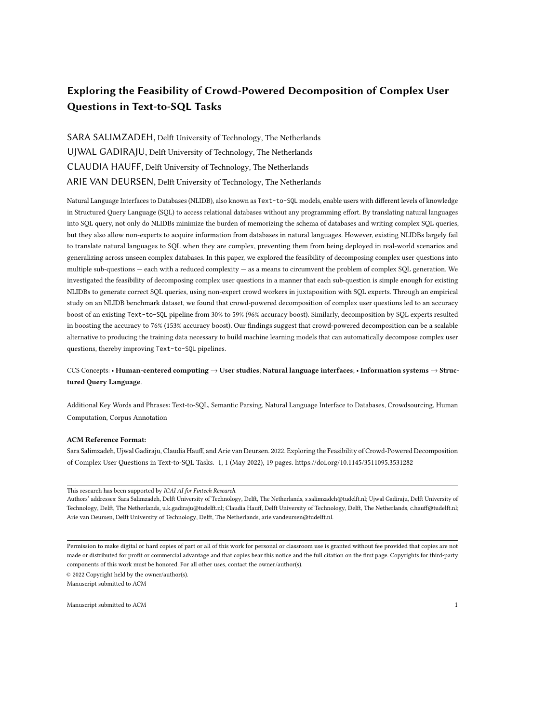# Exploring the Feasibility of Crowd-Powered Decomposition of Complex User Questions in Text-to-SQL Tasks

SARA SALIMZADEH, Delft University of Technology, The Netherlands UJWAL GADIRAJU, Delft University of Technology, The Netherlands CLAUDIA HAUFF, Delft University of Technology, The Netherlands ARIE VAN DEURSEN, Delft University of Technology, The Netherlands

Natural Language Interfaces to Databases (NLIDB), also known as Text-to-SQL models, enable users with different levels of knowledge in Structured Query Language (SQL) to access relational databases without any programming effort. By translating natural languages into SQL query, not only do NLIDBs minimize the burden of memorizing the schema of databases and writing complex SQL queries, but they also allow non-experts to acquire information from databases in natural languages. However, existing NLIDBs largely fail to translate natural languages to SQL when they are complex, preventing them from being deployed in real-world scenarios and generalizing across unseen complex databases. In this paper, we explored the feasibility of decomposing complex user questions into multiple sub-questions — each with a reduced complexity — as a means to circumvent the problem of complex SQL generation. We investigated the feasibility of decomposing complex user questions in a manner that each sub-question is simple enough for existing NLIDBs to generate correct SQL queries, using non-expert crowd workers in juxtaposition with SQL experts. Through an empirical study on an NLIDB benchmark dataset, we found that crowd-powered decomposition of complex user questions led to an accuracy boost of an existing Text-to-SQL pipeline from 30% to 59% (96% accuracy boost). Similarly, decomposition by SQL experts resulted in boosting the accuracy to 76% (153% accuracy boost). Our findings suggest that crowd-powered decomposition can be a scalable alternative to producing the training data necessary to build machine learning models that can automatically decompose complex user questions, thereby improving Text-to-SQL pipelines.

# CCS Concepts: • Human-centered computing → User studies; Natural language interfaces; • Information systems → Structured Query Language.

Additional Key Words and Phrases: Text-to-SQL, Semantic Parsing, Natural Language Interface to Databases, Crowdsourcing, Human Computation, Corpus Annotation

#### ACM Reference Format:

Sara Salimzadeh, Ujwal Gadiraju, Claudia Hauff, and Arie van Deursen. 2022. Exploring the Feasibility of Crowd-Powered Decomposition of Complex User Questions in Text-to-SQL Tasks. 1, 1 (May 2022), [19](#page-18-0) pages.<https://doi.org/10.1145/3511095.3531282>

This research has been supported by ICAI AI for Fintech Research.

Authors' addresses: Sara Salimzadeh, Delft University of Technology, Delft, The Netherlands, s.salimzadeh@tudelft.nl; Ujwal Gadiraju, Delft University of Technology, Delft, The Netherlands, u.k.gadiraju@tudelft.nl; Claudia Hauff, Delft University of Technology, Delft, The Netherlands, c.hauff@tudelft.nl; Arie van Deursen, Delft University of Technology, Delft, The Netherlands, arie.vandeursen@tudelft.nl.

Permission to make digital or hard copies of part or all of this work for personal or classroom use is granted without fee provided that copies are not made or distributed for profit or commercial advantage and that copies bear this notice and the full citation on the first page. Copyrights for third-party components of this work must be honored. For all other uses, contact the owner/author(s).

© 2022 Copyright held by the owner/author(s). Manuscript submitted to ACM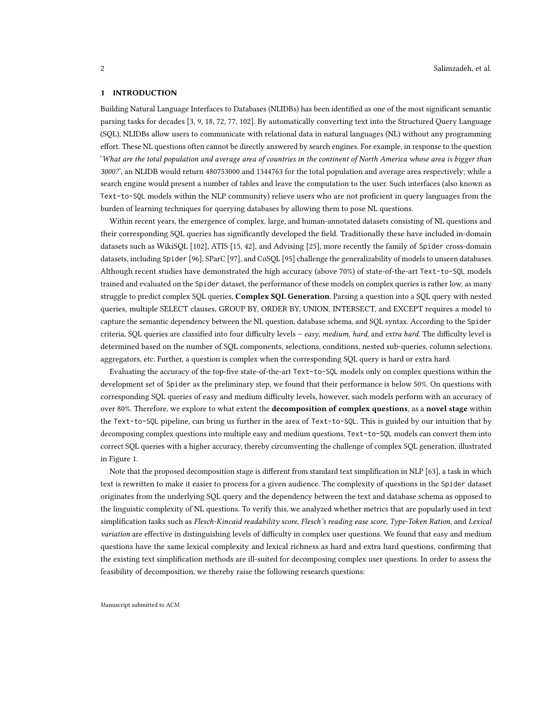#### 1 INTRODUCTION

Building Natural Language Interfaces to Databases (NLIDBs) has been identified as one of the most significant semantic parsing tasks for decades [\[3,](#page-14-0) [9,](#page-14-1) [18,](#page-14-2) [72,](#page-17-0) [77,](#page-17-1) [102\]](#page-18-1). By automatically converting text into the Structured Query Language (SQL), NLIDBs allow users to communicate with relational data in natural languages (NL) without any programming effort. These NL questions often cannot be directly answered by search engines. For example, in response to the question 'What are the total population and average area of countries in the continent of North America whose area is bigger than 3000?', an NLIDB would return 480753000 and 1344763 for the total population and average area respectively; while a search engine would present a number of tables and leave the computation to the user. Such interfaces (also known as Text-to-SQL models within the NLP community) relieve users who are not proficient in query languages from the burden of learning techniques for querying databases by allowing them to pose NL questions.

Within recent years, the emergence of complex, large, and human-annotated datasets consisting of NL questions and their corresponding SQL queries has significantly developed the field. Traditionally these have included in-domain datasets such as WikiSQL [\[102\]](#page-18-1), ATIS [\[15,](#page-14-3) [42\]](#page-16-0), and Advising [\[25\]](#page-15-0), more recently the family of Spider cross-domain datasets, including Spider [\[96\]](#page-18-2), SParC [\[97\]](#page-18-3), and CoSQL [\[95\]](#page-18-4) challenge the generalizability of models to unseen databases. Although recent studies have demonstrated the high accuracy (above 70%) of state-of-the-art Text-to-SQL models trained and evaluated on the Spider dataset, the performance of these models on complex queries is rather low, as many struggle to predict complex SQL queries, Complex SQL Generation. Parsing a question into a SQL query with nested queries, multiple SELECT clauses, GROUP BY, ORDER BY, UNION, INTERSECT, and EXCEPT requires a model to capture the semantic dependency between the NL question, database schema, and SQL syntax. According to the Spider criteria, SQL queries are classified into four difficulty levels – easy, medium, hard, and extra hard. The difficulty level is determined based on the number of SQL components, selections, conditions, nested sub-queries, column selections, aggregators, etc. Further, a question is complex when the corresponding SQL query is hard or extra hard.

Evaluating the accuracy of the top-five state-of-the-art Text-to-SQL models only on complex questions within the development set of Spider as the preliminary step, we found that their performance is below 50%. On questions with corresponding SQL queries of easy and medium difficulty levels, however, such models perform with an accuracy of over 80%. Therefore, we explore to what extent the decomposition of complex questions, as a novel stage within the Text-to-SQL pipeline, can bring us further in the area of Text-to-SQL. This is guided by our intuition that by decomposing complex questions into multiple easy and medium questions, Text-to-SQL models can convert them into correct SQL queries with a higher accuracy, thereby circumventing the challenge of complex SQL generation, illustrated in Figure [1.](#page-2-0)

Note that the proposed decomposition stage is different from standard text simplification in NLP [\[63\]](#page-17-2), a task in which text is rewritten to make it easier to process for a given audience. The complexity of questions in the Spider dataset originates from the underlying SQL query and the dependency between the text and database schema as opposed to the linguistic complexity of NL questions. To verify this, we analyzed whether metrics that are popularly used in text simplification tasks such as Flesch-Kincaid readability score, Flesch's reading ease score, Type-Token Ration, and Lexical variation are effective in distinguishing levels of difficulty in complex user questions. We found that easy and medium questions have the same lexical complexity and lexical richness as hard and extra hard questions, confirming that the existing text simplification methods are ill-suited for decomposing complex user questions. In order to assess the feasibility of decomposition, we thereby raise the following research questions: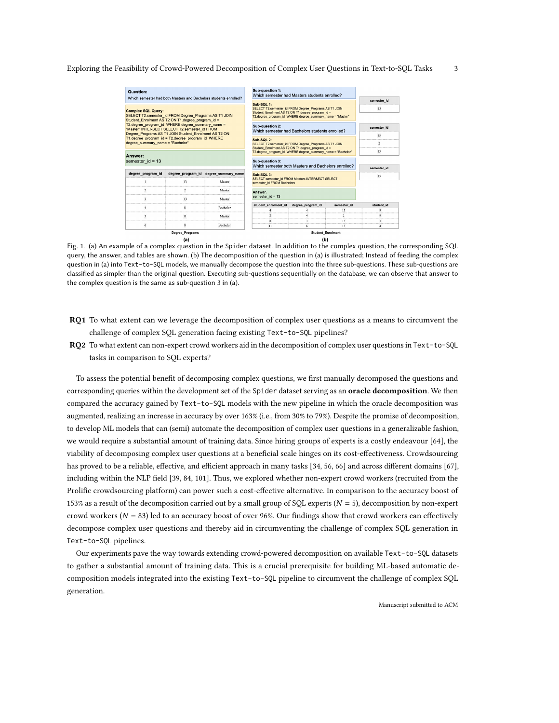<span id="page-2-0"></span>

| Question:                                                                                                                                                  |                                                     | Which semester had both Masters and Bachelors students enrolled? | Sub-question 1:<br>Which semester had Masters students enrolled?                                                                                                                      |                                                     | semester id    |             |
|------------------------------------------------------------------------------------------------------------------------------------------------------------|-----------------------------------------------------|------------------------------------------------------------------|---------------------------------------------------------------------------------------------------------------------------------------------------------------------------------------|-----------------------------------------------------|----------------|-------------|
| <b>Complex SQL Query:</b><br>SELECT T2.semester_id FROM Degree_Programs AS T1 JOIN<br>Student Enrolment AS T2 ON T1.degree program id =                    |                                                     |                                                                  | Sub-SQL 1:<br>SELECT T2.semester id FROM Degree Programs AS T1 JOIN<br>Student Enrolment AS T2 ON T1.degree program id =<br>T2.degree program id WHERE degree summary name = "Master" |                                                     | 13             |             |
| T2.degree program id WHERE degree summary name =<br>"Master" INTERSECT SELECT T2.semester id FROM<br>Degree Programs AS T1 JOIN Student Enrolment AS T2 ON |                                                     |                                                                  | <b>Sub-question 2:</b><br>Which semester had Bachelors students enrolled?                                                                                                             | semester id                                         |                |             |
| T1.degree program id = T2.degree program id WHERE                                                                                                          |                                                     |                                                                  | Sub-SQL 2:                                                                                                                                                                            |                                                     |                | 15          |
| degree summary name = "Bachelor"                                                                                                                           |                                                     |                                                                  | SELECT T2.semester id FROM Degree Programs AS T1 JOIN<br>Student Enrolment AS T2 ON T1.degree program id =                                                                            |                                                     | $\overline{2}$ |             |
|                                                                                                                                                            |                                                     |                                                                  | T2.degree program id WHERE degree summary name = "Bachelor"                                                                                                                           |                                                     | 13             |             |
| Answer:<br>semester $id = 13$                                                                                                                              |                                                     |                                                                  | Sub-question 3:                                                                                                                                                                       | Which semester both Masters and Bachelors enrolled? |                | semester id |
| degree program id                                                                                                                                          | degree program id                                   | degree summary name                                              | Sub-SQL 3:                                                                                                                                                                            |                                                     |                | 13          |
|                                                                                                                                                            | 13                                                  | Master                                                           | semester id FROM Bachelors                                                                                                                                                            | SELECT semester id FROM Masters INTERSECT SELECT    |                |             |
|                                                                                                                                                            |                                                     | Master                                                           | Answer:                                                                                                                                                                               |                                                     |                |             |
|                                                                                                                                                            | 13                                                  | Master                                                           | semester $id = 13$                                                                                                                                                                    |                                                     |                |             |
|                                                                                                                                                            | 8                                                   | Bachelor                                                         | student enrolment id<br>degree program id<br>semester_id                                                                                                                              |                                                     |                | student id  |
|                                                                                                                                                            |                                                     |                                                                  |                                                                                                                                                                                       |                                                     |                |             |
| 5                                                                                                                                                          | 11                                                  | Master                                                           |                                                                                                                                                                                       |                                                     |                |             |
|                                                                                                                                                            |                                                     |                                                                  |                                                                                                                                                                                       |                                                     |                |             |
| 6                                                                                                                                                          | 8                                                   | Bachelor                                                         | 11                                                                                                                                                                                    |                                                     | 13             |             |
|                                                                                                                                                            | <b>Degree Programs</b><br>$\mathbf{I} - \mathbf{V}$ |                                                                  |                                                                                                                                                                                       | <b>Student Enrolment</b><br>$\mathbf{u}$            |                |             |

Fig. 1. (a) An example of a complex question in the Spider dataset. In addition to the complex question, the corresponding SQL query, the answer, and tables are shown. (b) The decomposition of the question in (a) is illustrated; Instead of feeding the complex question in (a) into Text-to-SQL models, we manually decompose the question into the three sub-questions. These sub-questions are classified as simpler than the original question. Executing sub-questions sequentially on the database, we can observe that answer to the complex question is the same as sub-question 3 in (a).

- RQ1 To what extent can we leverage the decomposition of complex user questions as a means to circumvent the challenge of complex SQL generation facing existing Text-to-SQL pipelines?
- RQ2 To what extent can non-expert crowd workers aid in the decomposition of complex user questions in Text-to-SQL tasks in comparison to SQL experts?

To assess the potential benefit of decomposing complex questions, we first manually decomposed the questions and corresponding queries within the development set of the Spider dataset serving as an **oracle decomposition**. We then compared the accuracy gained by Text-to-SQL models with the new pipeline in which the oracle decomposition was augmented, realizing an increase in accuracy by over 163% (i.e., from 30% to 79%). Despite the promise of decomposition, to develop ML models that can (semi) automate the decomposition of complex user questions in a generalizable fashion, we would require a substantial amount of training data. Since hiring groups of experts is a costly endeavour [\[64\]](#page-17-3), the viability of decomposing complex user questions at a beneficial scale hinges on its cost-effectiveness. Crowdsourcing has proved to be a reliable, effective, and efficient approach in many tasks [\[34,](#page-15-1) [56,](#page-16-1) [66\]](#page-17-4) and across different domains [\[67\]](#page-17-5), including within the NLP field [\[39,](#page-15-2) [84,](#page-17-6) [101\]](#page-18-5). Thus, we explored whether non-expert crowd workers (recruited from the Prolific crowdsourcing platform) can power such a cost-effective alternative. In comparison to the accuracy boost of 153% as a result of the decomposition carried out by a small group of SQL experts ( $N = 5$ ), decomposition by non-expert crowd workers ( $N = 83$ ) led to an accuracy boost of over 96%. Our findings show that crowd workers can effectively decompose complex user questions and thereby aid in circumventing the challenge of complex SQL generation in Text-to-SQL pipelines.

Our experiments pave the way towards extending crowd-powered decomposition on available Text-to-SQL datasets to gather a substantial amount of training data. This is a crucial prerequisite for building ML-based automatic decomposition models integrated into the existing Text-to-SQL pipeline to circumvent the challenge of complex SQL generation.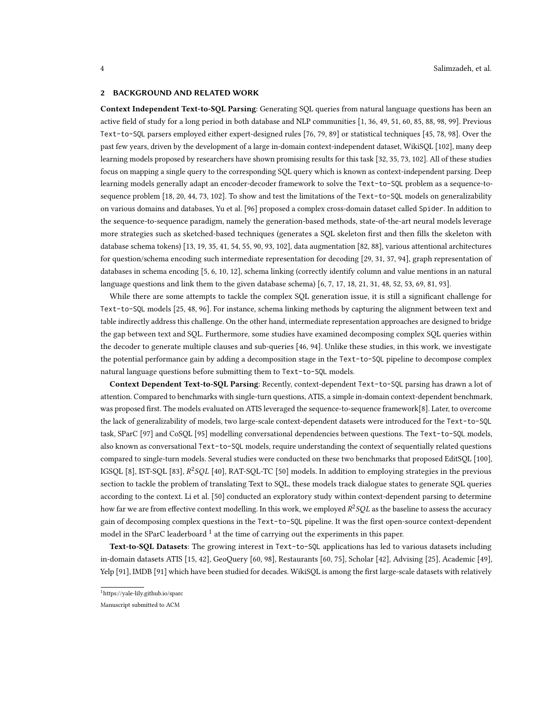#### 2 BACKGROUND AND RELATED WORK

Context Independent Text-to-SQL Parsing: Generating SQL queries from natural language questions has been an active field of study for a long period in both database and NLP communities [\[1,](#page-14-4) [36,](#page-15-3) [49,](#page-16-2) [51,](#page-16-3) [60,](#page-16-4) [85,](#page-17-7) [88,](#page-17-8) [98,](#page-18-6) [99\]](#page-18-7). Previous Text-to-SQL parsers employed either expert-designed rules [\[76,](#page-17-9) [79,](#page-17-10) [89\]](#page-17-11) or statistical techniques [\[45,](#page-16-5) [78,](#page-17-12) [98\]](#page-18-6). Over the past few years, driven by the development of a large in-domain context-independent dataset, WikiSQL [\[102\]](#page-18-1), many deep learning models proposed by researchers have shown promising results for this task [\[32,](#page-15-4) [35,](#page-15-5) [73,](#page-17-13) [102\]](#page-18-1). All of these studies focus on mapping a single query to the corresponding SQL query which is known as context-independent parsing. Deep learning models generally adapt an encoder-decoder framework to solve the Text-to-SQL problem as a sequence-tosequence problem [\[18,](#page-14-2) [20,](#page-15-6) [44,](#page-16-6) [73,](#page-17-13) [102\]](#page-18-1). To show and test the limitations of the Text-to-SQL models on generalizability on various domains and databases, Yu et al. [\[96\]](#page-18-2) proposed a complex cross-domain dataset called Spider. In addition to the sequence-to-sequence paradigm, namely the generation-based methods, state-of-the-art neural models leverage more strategies such as sketched-based techniques (generates a SQL skeleton first and then fills the skeleton with database schema tokens) [\[13,](#page-14-5) [19,](#page-14-6) [35,](#page-15-5) [41,](#page-15-7) [54,](#page-16-7) [55,](#page-16-8) [90,](#page-18-8) [93,](#page-18-9) [102\]](#page-18-1), data augmentation [\[82,](#page-17-14) [88\]](#page-17-8), various attentional architectures for question/schema encoding such intermediate representation for decoding [\[29,](#page-15-8) [31,](#page-15-9) [37,](#page-15-10) [94\]](#page-18-10), graph representation of databases in schema encoding [\[5,](#page-14-7) [6,](#page-14-8) [10,](#page-14-9) [12\]](#page-14-10), schema linking (correctly identify column and value mentions in an natural language questions and link them to the given database schema) [\[6,](#page-14-8) [7,](#page-14-11) [17,](#page-14-12) [18,](#page-14-2) [21,](#page-15-11) [31,](#page-15-9) [48,](#page-16-9) [52,](#page-16-10) [53,](#page-16-11) [69,](#page-17-15) [81,](#page-17-16) [93\]](#page-18-9).

While there are some attempts to tackle the complex SQL generation issue, it is still a significant challenge for Text-to-SQL models [\[25,](#page-15-0) [48,](#page-16-9) [96\]](#page-18-2). For instance, schema linking methods by capturing the alignment between text and table indirectly address this challenge. On the other hand, intermediate representation approaches are designed to bridge the gap between text and SQL. Furthermore, some studies have examined decomposing complex SQL queries within the decoder to generate multiple clauses and sub-queries [\[46,](#page-16-12) [94\]](#page-18-10). Unlike these studies, in this work, we investigate the potential performance gain by adding a decomposition stage in the Text-to-SQL pipeline to decompose complex natural language questions before submitting them to Text-to-SQL models.

Context Dependent Text-to-SQL Parsing: Recently, context-dependent Text-to-SQL parsing has drawn a lot of attention. Compared to benchmarks with single-turn questions, ATIS, a simple in-domain context-dependent benchmark, was proposed first. The models evaluated on ATIS leveraged the sequence-to-sequence framework[8]. Later, to overcome the lack of generalizability of models, two large-scale context-dependent datasets were introduced for the Text-to-SQL task, SParC [\[97\]](#page-18-3) and CoSQL [\[95\]](#page-18-4) modelling conversational dependencies between questions. The Text-to-SQL models, also known as conversational Text-to-SQL models, require understanding the context of sequentially related questions compared to single-turn models. Several studies were conducted on these two benchmarks that proposed EditSQL [\[100\]](#page-18-11), IGSQL [\[8\]](#page-14-13), IST-SQL [\[83\]](#page-17-17),  $R^2SQL$  [\[40\]](#page-15-12), RAT-SQL-TC [\[50\]](#page-16-13) models. In addition to employing strategies in the previous section to tackle the problem of translating Text to SQL, these models track dialogue states to generate SQL queries according to the context. Li et al. [\[50\]](#page-16-13) conducted an exploratory study within context-dependent parsing to determine how far we are from effective context modelling. In this work, we employed  $R^2SQL$  as the baseline to assess the accuracy gain of decomposing complex questions in the Text-to-SQL pipeline. It was the first open-source context-dependent model in the SParC leaderboard  $^1$  $^1$  at the time of carrying out the experiments in this paper.

Text-to-SQL Datasets: The growing interest in Text-to-SQL applications has led to various datasets including in-domain datasets ATIS [\[15,](#page-14-3) [42\]](#page-16-0), GeoQuery [\[60,](#page-16-4) [98\]](#page-18-6), Restaurants [\[60,](#page-16-4) [75\]](#page-17-18), Scholar [\[42\]](#page-16-0), Advising [\[25\]](#page-15-0), Academic [\[49\]](#page-16-2), Yelp [\[91\]](#page-18-12), IMDB [\[91\]](#page-18-12) which have been studied for decades. WikiSQL is among the first large-scale datasets with relatively

<span id="page-3-0"></span><sup>1</sup>https://yale-lily.github.io/sparc

Manuscript submitted to ACM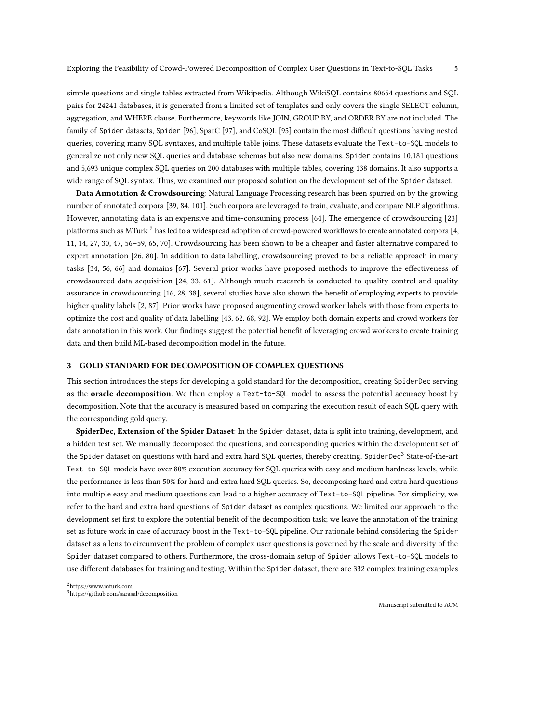simple questions and single tables extracted from Wikipedia. Although WikiSQL contains 80654 questions and SQL pairs for 24241 databases, it is generated from a limited set of templates and only covers the single SELECT column, aggregation, and WHERE clause. Furthermore, keywords like JOIN, GROUP BY, and ORDER BY are not included. The family of Spider datasets, Spider [\[96\]](#page-18-2), SparC [\[97\]](#page-18-3), and CoSQL [\[95\]](#page-18-4) contain the most difficult questions having nested queries, covering many SQL syntaxes, and multiple table joins. These datasets evaluate the Text-to-SQL models to generalize not only new SQL queries and database schemas but also new domains. Spider contains 10,181 questions and 5,693 unique complex SQL queries on 200 databases with multiple tables, covering 138 domains. It also supports a wide range of SQL syntax. Thus, we examined our proposed solution on the development set of the Spider dataset.

Data Annotation & Crowdsourcing: Natural Language Processing research has been spurred on by the growing number of annotated corpora [\[39,](#page-15-2) [84,](#page-17-6) [101\]](#page-18-5). Such corpora are leveraged to train, evaluate, and compare NLP algorithms. However, annotating data is an expensive and time-consuming process [\[64\]](#page-17-3). The emergence of crowdsourcing [\[23\]](#page-15-13) platforms such as MTurk  $^2$  $^2$  has led to a widespread adoption of crowd-powered workflows to create annotated corpora [\[4,](#page-14-14) [11,](#page-14-15) [14,](#page-14-16) [27,](#page-15-14) [30,](#page-15-15) [47,](#page-16-14) [56](#page-16-1)[–59,](#page-16-15) [65,](#page-17-19) [70\]](#page-17-20). Crowdsourcing has been shown to be a cheaper and faster alternative compared to expert annotation [\[26,](#page-15-16) [80\]](#page-17-21). In addition to data labelling, crowdsourcing proved to be a reliable approach in many tasks [\[34,](#page-15-1) [56,](#page-16-1) [66\]](#page-17-4) and domains [\[67\]](#page-17-5). Several prior works have proposed methods to improve the effectiveness of crowdsourced data acquisition [\[24,](#page-15-17) [33,](#page-15-18) [61\]](#page-16-16). Although much research is conducted to quality control and quality assurance in crowdsourcing [\[16,](#page-14-17) [28,](#page-15-19) [38\]](#page-15-20), several studies have also shown the benefit of employing experts to provide higher quality labels [\[2,](#page-14-18) [87\]](#page-17-22). Prior works have proposed augmenting crowd worker labels with those from experts to optimize the cost and quality of data labelling [\[43,](#page-16-17) [62,](#page-16-18) [68,](#page-17-23) [92\]](#page-18-13). We employ both domain experts and crowd workers for data annotation in this work. Our findings suggest the potential benefit of leveraging crowd workers to create training data and then build ML-based decomposition model in the future.

### <span id="page-4-2"></span>3 GOLD STANDARD FOR DECOMPOSITION OF COMPLEX QUESTIONS

This section introduces the steps for developing a gold standard for the decomposition, creating SpiderDec serving as the oracle decomposition. We then employ a Text-to-SQL model to assess the potential accuracy boost by decomposition. Note that the accuracy is measured based on comparing the execution result of each SQL query with the corresponding gold query.

SpiderDec, Extension of the Spider Dataset: In the Spider dataset, data is split into training, development, and a hidden test set. We manually decomposed the questions, and corresponding queries within the development set of the Spider dataset on questions with hard and extra hard SQL queries, thereby creating. SpiderDec<sup>[3](#page-4-1)</sup> State-of-the-art Text-to-SQL models have over 80% execution accuracy for SQL queries with easy and medium hardness levels, while the performance is less than 50% for hard and extra hard SQL queries. So, decomposing hard and extra hard questions into multiple easy and medium questions can lead to a higher accuracy of Text-to-SQL pipeline. For simplicity, we refer to the hard and extra hard questions of Spider dataset as complex questions. We limited our approach to the development set first to explore the potential benefit of the decomposition task; we leave the annotation of the training set as future work in case of accuracy boost in the Text-to-SQL pipeline. Our rationale behind considering the Spider dataset as a lens to circumvent the problem of complex user questions is governed by the scale and diversity of the Spider dataset compared to others. Furthermore, the cross-domain setup of Spider allows Text-to-SQL models to use different databases for training and testing. Within the Spider dataset, there are 332 complex training examples

<span id="page-4-0"></span><sup>2</sup>https://www.mturk.com

<span id="page-4-1"></span><sup>3</sup>https://github.com/sarasal/decomposition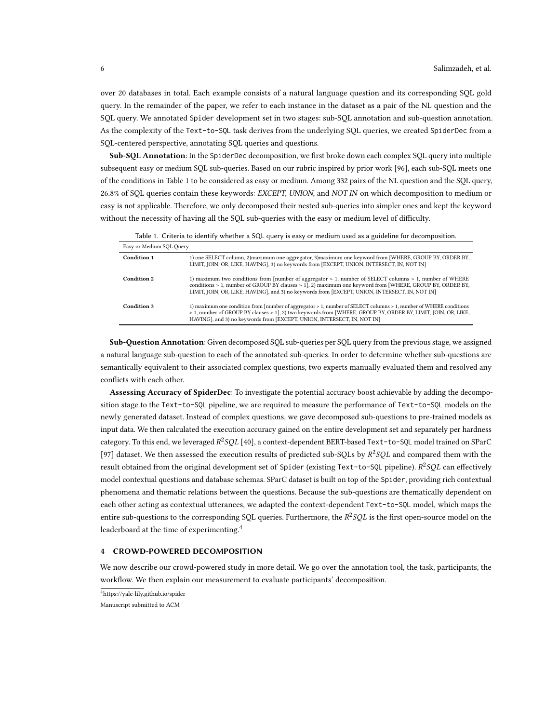over 20 databases in total. Each example consists of a natural language question and its corresponding SQL gold query. In the remainder of the paper, we refer to each instance in the dataset as a pair of the NL question and the SQL query. We annotated Spider development set in two stages: sub-SQL annotation and sub-question annotation. As the complexity of the Text-to-SQL task derives from the underlying SQL queries, we created SpiderDec from a SQL-centered perspective, annotating SQL queries and questions.

Sub-SQL Annotation: In the SpiderDec decomposition, we first broke down each complex SQL query into multiple subsequent easy or medium SQL sub-queries. Based on our rubric inspired by prior work [\[96\]](#page-18-2), each sub-SQL meets one of the conditions in Table [1](#page-5-0) to be considered as easy or medium. Among 332 pairs of the NL question and the SQL query, 26.8% of SQL queries contain these keywords: EXCEPT, UNION, and NOT IN on which decomposition to medium or easy is not applicable. Therefore, we only decomposed their nested sub-queries into simpler ones and kept the keyword without the necessity of having all the SQL sub-queries with the easy or medium level of difficulty.

<span id="page-5-0"></span>

|                          | Table 1. Chiena to hieminy whether a SQL query is easy or medium used as a guideline for decomposition.                                                                                                                                                                                                               |
|--------------------------|-----------------------------------------------------------------------------------------------------------------------------------------------------------------------------------------------------------------------------------------------------------------------------------------------------------------------|
| Easy or Medium SQL Query |                                                                                                                                                                                                                                                                                                                       |
| Condition 1              | 1) one SELECT column, 2) maximum one aggregator, 3) maximum one keyword from [WHERE, GROUP BY, ORDER BY,<br>LIMIT, JOIN, OR, LIKE, HAVING], 3) no keywords from [EXCEPT, UNION, INTERSECT, IN, NOT IN]                                                                                                                |
| Condition 2              | 1) maximum two conditions from [number of aggregator > 1, number of SELECT columns > 1, number of WHERE<br>conditions > 1, number of GROUP BY clauses > 1], 2) maximum one keyword from [WHERE, GROUP BY, ORDER BY,<br>LIMIT, JOIN, OR, LIKE, HAVING], and 3) no keywords from [EXCEPT, UNION, INTERSECT, IN, NOT IN] |
| Condition 3              | 1) maximum one condition from [number of aggregator > 1, number of SELECT columns > 1, number of WHERE conditions<br>> 1, number of GROUP BY clauses > 1], 2) two keywords from [WHERE, GROUP BY, ORDER BY, LIMIT, JOIN, OR, LIKE,<br>HAVING], and 3) no keywords from [EXCEPT, UNION, INTERSECT, IN, NOT IN]         |

Table 1. Criteria to identify whether a SQL query is easy or medium used as a guideline for decomposition.

Sub-Question Annotation: Given decomposed SQL sub-queries per SQL query from the previous stage, we assigned a natural language sub-question to each of the annotated sub-queries. In order to determine whether sub-questions are semantically equivalent to their associated complex questions, two experts manually evaluated them and resolved any conflicts with each other.

Assessing Accuracy of SpiderDec: To investigate the potential accuracy boost achievable by adding the decomposition stage to the Text-to-SQL pipeline, we are required to measure the performance of Text-to-SQL models on the newly generated dataset. Instead of complex questions, we gave decomposed sub-questions to pre-trained models as input data. We then calculated the execution accuracy gained on the entire development set and separately per hardness category. To this end, we leveraged  $R^2SQL$  [\[40\]](#page-15-12), a context-dependent BERT-based Text-to-SQL model trained on SParC [\[97\]](#page-18-3) dataset. We then assessed the execution results of predicted sub-SQLs by  $R^2SQL$  and compared them with the result obtained from the original development set of Spider (existing Text-to-SQL pipeline).  $R^2SQL$  can effectively model contextual questions and database schemas. SParC dataset is built on top of the Spider, providing rich contextual phenomena and thematic relations between the questions. Because the sub-questions are thematically dependent on each other acting as contextual utterances, we adapted the context-dependent Text-to-SQL model, which maps the entire sub-questions to the corresponding SQL queries. Furthermore, the  $R^2SQL$  is the first open-source model on the leaderboard at the time of experimenting.<sup>[4](#page-5-1)</sup>

## 4 CROWD-POWERED DECOMPOSITION

We now describe our crowd-powered study in more detail. We go over the annotation tool, the task, participants, the workflow. We then explain our measurement to evaluate participants' decomposition.

<span id="page-5-1"></span><sup>4</sup>https://yale-lily.github.io/spider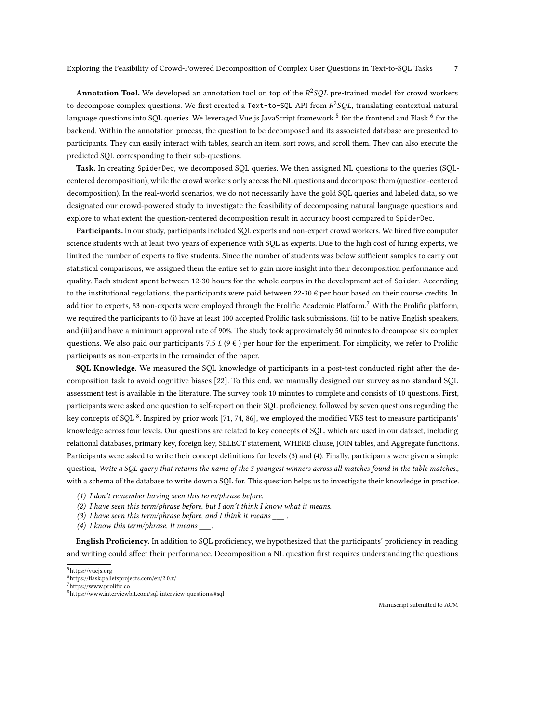Annotation Tool. We developed an annotation tool on top of the  $R^2SQL$  pre-trained model for crowd workers to decompose complex questions. We first created a Text-to-SQL API from  $R^2SQL$ , translating contextual natural language questions into SQL queries. We leveraged Vue.js JavaScript framework  $^5$  $^5$  for the frontend and Flask  $^6$  $^6$  for the backend. Within the annotation process, the question to be decomposed and its associated database are presented to participants. They can easily interact with tables, search an item, sort rows, and scroll them. They can also execute the predicted SQL corresponding to their sub-questions.

Task. In creating SpiderDec, we decomposed SQL queries. We then assigned NL questions to the queries (SQLcentered decomposition), while the crowd workers only access the NL questions and decompose them (question-centered decomposition). In the real-world scenarios, we do not necessarily have the gold SQL queries and labeled data, so we designated our crowd-powered study to investigate the feasibility of decomposing natural language questions and explore to what extent the question-centered decomposition result in accuracy boost compared to SpiderDec.

Participants. In our study, participants included SQL experts and non-expert crowd workers. We hired five computer science students with at least two years of experience with SQL as experts. Due to the high cost of hiring experts, we limited the number of experts to five students. Since the number of students was below sufficient samples to carry out statistical comparisons, we assigned them the entire set to gain more insight into their decomposition performance and quality. Each student spent between 12-30 hours for the whole corpus in the development set of Spider. According to the institutional regulations, the participants were paid between 22-30  $\epsilon$  per hour based on their course credits. In addition to experts, 83 non-experts were employed through the Prolific Academic Platform.<sup>[7](#page-6-2)</sup> With the Prolific platform, we required the participants to (i) have at least 100 accepted Prolific task submissions, (ii) to be native English speakers, and (iii) and have a minimum approval rate of 90%. The study took approximately 50 minutes to decompose six complex questions. We also paid our participants 7.5  $\mathcal{E}(\Theta \epsilon)$  per hour for the experiment. For simplicity, we refer to Prolific participants as non-experts in the remainder of the paper.

SQL Knowledge. We measured the SQL knowledge of participants in a post-test conducted right after the decomposition task to avoid cognitive biases [\[22\]](#page-15-21). To this end, we manually designed our survey as no standard SQL assessment test is available in the literature. The survey took 10 minutes to complete and consists of 10 questions. First, participants were asked one question to self-report on their SQL proficiency, followed by seven questions regarding the key concepts of SQL  $^8$  $^8$ . Inspired by prior work [\[71,](#page-17-24) [74,](#page-17-25) [86\]](#page-17-26), we employed the modified VKS test to measure participants' knowledge across four levels. Our questions are related to key concepts of SQL, which are used in our dataset, including relational databases, primary key, foreign key, SELECT statement, WHERE clause, JOIN tables, and Aggregate functions. Participants were asked to write their concept definitions for levels (3) and (4). Finally, participants were given a simple question, Write a SQL query that returns the name of the 3 youngest winners across all matches found in the table matches., with a schema of the database to write down a SQL for. This question helps us to investigate their knowledge in practice.

- (1) I don't remember having seen this term/phrase before.
- (2) I have seen this term/phrase before, but I don't think I know what it means.
- (3) I have seen this term/phrase before, and I think it means  $\qquad \qquad$ .
- (4) I know this term/phrase. It means  $\frac{1}{\sqrt{2}}$ .

English Proficiency. In addition to SQL proficiency, we hypothesized that the participants' proficiency in reading and writing could affect their performance. Decomposition a NL question first requires understanding the questions

<span id="page-6-0"></span><sup>5</sup>https://vuejs.org

<span id="page-6-1"></span><sup>6</sup>https://flask.palletsprojects.com/en/2.0.x/

<span id="page-6-2"></span><sup>7</sup>https://www.prolific.co

<span id="page-6-3"></span><sup>8</sup>https://www.interviewbit.com/sql-interview-questions/#sql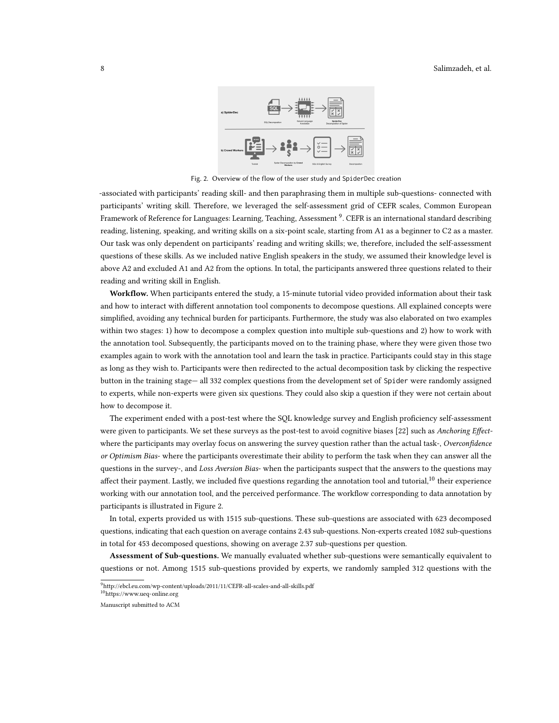

Fig. 2. Overview of the flow of the user study and SpiderDec creation

<span id="page-7-2"></span>-associated with participants' reading skill- and then paraphrasing them in multiple sub-questions- connected with participants' writing skill. Therefore, we leveraged the self-assessment grid of CEFR scales, Common European Framework of Reference for Languages: Learning, Teaching, Assessment <sup>[9](#page-7-0)</sup>. CEFR is an international standard describing reading, listening, speaking, and writing skills on a six-point scale, starting from A1 as a beginner to C2 as a master. Our task was only dependent on participants' reading and writing skills; we, therefore, included the self-assessment questions of these skills. As we included native English speakers in the study, we assumed their knowledge level is above A2 and excluded A1 and A2 from the options. In total, the participants answered three questions related to their reading and writing skill in English.

Workflow. When participants entered the study, a 15-minute tutorial video provided information about their task and how to interact with different annotation tool components to decompose questions. All explained concepts were simplified, avoiding any technical burden for participants. Furthermore, the study was also elaborated on two examples within two stages: 1) how to decompose a complex question into multiple sub-questions and 2) how to work with the annotation tool. Subsequently, the participants moved on to the training phase, where they were given those two examples again to work with the annotation tool and learn the task in practice. Participants could stay in this stage as long as they wish to. Participants were then redirected to the actual decomposition task by clicking the respective button in the training stage— all 332 complex questions from the development set of Spider were randomly assigned to experts, while non-experts were given six questions. They could also skip a question if they were not certain about how to decompose it.

The experiment ended with a post-test where the SQL knowledge survey and English proficiency self-assessment were given to participants. We set these surveys as the post-test to avoid cognitive biases [\[22\]](#page-15-21) such as Anchoring Effectwhere the participants may overlay focus on answering the survey question rather than the actual task-, Overconfidence or Optimism Bias- where the participants overestimate their ability to perform the task when they can answer all the questions in the survey-, and Loss Aversion Bias- when the participants suspect that the answers to the questions may affect their payment. Lastly, we included five questions regarding the annotation tool and tutorial,<sup>[10](#page-7-1)</sup> their experience working with our annotation tool, and the perceived performance. The workflow corresponding to data annotation by participants is illustrated in Figure [2.](#page-7-2)

In total, experts provided us with 1515 sub-questions. These sub-questions are associated with 623 decomposed questions, indicating that each question on average contains 2.43 sub-questions. Non-experts created 1082 sub-questions in total for 453 decomposed questions, showing on average 2.37 sub-questions per question.

Assessment of Sub-questions. We manually evaluated whether sub-questions were semantically equivalent to questions or not. Among 1515 sub-questions provided by experts, we randomly sampled 312 questions with the

<span id="page-7-1"></span> $\rm ^{10}https://www.ueq-online.org$  $\rm ^{10}https://www.ueq-online.org$ 

<span id="page-7-0"></span><sup>9</sup>http://ebcl.eu.com/wp-content/uploads/2011/11/CEFR-all-scales-and-all-skills.pdf

Manuscript submitted to ACM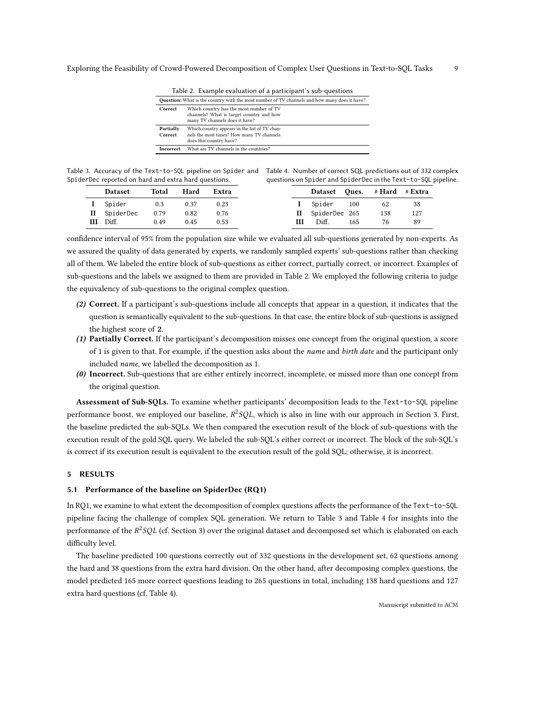| Table 2. Example evaluation of a participant's sub-questions |                                                                                                                       |  |  |  |  |  |
|--------------------------------------------------------------|-----------------------------------------------------------------------------------------------------------------------|--|--|--|--|--|
|                                                              | <b>Question:</b> What is the country with the most number of TV channels and how many does it have?                   |  |  |  |  |  |
| Correct                                                      | Which country has the most number of TV<br>channels? What is target country and how<br>many TV channels does it have? |  |  |  |  |  |
| Partially<br>Correct                                         | Which country appears in the list of TV chan-<br>nels the most times? How many TV channels<br>does this country have? |  |  |  |  |  |
| <b>Incorrect</b>                                             | What are TV channels in the countries?                                                                                |  |  |  |  |  |

<span id="page-8-1"></span><span id="page-8-0"></span>Table 3. Accuracy of the Text-to-SQL pipeline on Spider and Table 4. Number of correct SQL predictions out of 332 complex

| SpiderDec reported on hard and extra hard questions. |                |       |      |       | questions on Spider and SpiderDec in the Text-to-SQL pipeline. |                            |     |     |     |  |
|------------------------------------------------------|----------------|-------|------|-------|----------------------------------------------------------------|----------------------------|-----|-----|-----|--|
|                                                      | <b>Dataset</b> | Total | Hard | Extra |                                                                | Dataset Oues. #Hard #Extra |     |     |     |  |
|                                                      | I Spider       | 0.3   | 0.37 | 0.23  |                                                                | Spider 100                 |     | 62  | 38  |  |
|                                                      | II SpiderDec   | 0.79  | 0.82 | 0.76  |                                                                | II SpiderDec 265           |     | 138 | 127 |  |
|                                                      | III Diff.      | 0.49  | 0.45 | 0.53  | Ш                                                              | Diff.                      | 165 | 76  | 89  |  |

confidence interval of 95% from the population size while we evaluated all sub-questions generated by non-experts. As we assured the quality of data generated by experts, we randomly sampled experts' sub-questions rather than checking all of them. We labeled the entire block of sub-questions as either correct, partially correct, or incorrect. Examples of sub-questions and the labels we assigned to them are provided in Table [2.](#page-8-0) We employed the following criteria to judge the equivalency of sub-questions to the original complex question.

- (2) Correct. If a participant's sub-questions include all concepts that appear in a question, it indicates that the question is semantically equivalent to the sub-questions. In that case, the entire block of sub-questions is assigned the highest score of 2.
- (1) Partially Correct. If the participant's decomposition misses one concept from the original question, a score of 1 is given to that. For example, if the question asks about the *name* and *birth date* and the participant only included name, we labelled the decomposition as 1.
- (0) Incorrect. Sub-questions that are either entirely incorrect, incomplete, or missed more than one concept from the original question.

Assessment of Sub-SQLs. To examine whether participants' decomposition leads to the Text-to-SQL pipeline performance boost, we employed our baseline,  $R^2SQL$ , which is also in line with our approach in Section [3.](#page-5-0) First, the baseline predicted the sub-SQLs. We then compared the execution result of the block of sub-questions with the execution result of the gold SQL query. We labeled the sub-SQL's either correct or incorrect. The block of the sub-SQL's is correct if its execution result is equivalent to the execution result of the gold SQL; otherwise, it is incorrect.

#### 5 RESULTS

#### 5.1 Performance of the baseline on SpiderDec (RQ1)

In RQ1, we examine to what extent the decomposition of complex questions affects the performance of the Text-to-SQL pipeline facing the challenge of complex SQL generation. We return to Table [3](#page-8-1) and Table [4](#page-8-1) for insights into the performance of the  $R^2SQL$  (cf. Section [3\)](#page-4-2) over the original dataset and decomposed set which is elaborated on each difficulty level.

The baseline predicted 100 questions correctly out of 332 questions in the development set, 62 questions among the hard and 38 questions from the extra hard division. On the other hand, after decomposing complex questions, the model predicted 165 more correct questions leading to 265 questions in total, including 138 hard questions and 127 extra hard questions (cf. Table [4\)](#page-8-1).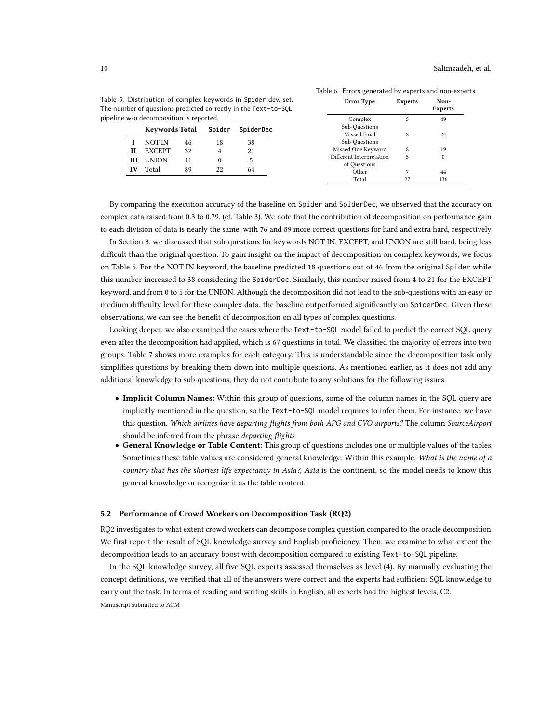Experts

49

Table 6. Errors generated by experts and non-experts Error Type Experts Non-

<span id="page-9-0"></span>Table 5. Distribution of complex keywords in Spider dev. set. The number of questions predicted correctly in the Text-to-SQL pipeline w/o de

| w/o decomposition is reported. |                                              |    |                               |          | Complex                                  |    | 49           |
|--------------------------------|----------------------------------------------|----|-------------------------------|----------|------------------------------------------|----|--------------|
|                                | <b>Keywords Total</b><br>Spider<br>SpiderDec |    | Sub-Ouestions<br>Missed Final | $\Omega$ | 24                                       |    |              |
|                                | NOT IN                                       | 46 | 18                            | 38       | Sub-Ouestions                            |    |              |
| Н                              | <b>EXCEPT</b>                                | 32 | 4                             | 21       | Missed One Keyword                       | 8  | 19           |
| ш                              | <b>UNION</b>                                 | 11 |                               |          | Different Interpretation<br>of Ouestions |    | $\mathbf{0}$ |
|                                | Total                                        | 89 | 22                            | 64       | Other                                    |    | 44           |
|                                |                                              |    |                               |          | Total                                    | 27 | 136          |

By comparing the execution accuracy of the baseline on Spider and SpiderDec, we observed that the accuracy on complex data raised from 0.3 to 0.79, (cf. Table [3\)](#page-8-1). We note that the contribution of decomposition on performance gain to each division of data is nearly the same, with 76 and 89 more correct questions for hard and extra hard, respectively.

In Section [3,](#page-4-2) we discussed that sub-questions for keywords NOT IN, EXCEPT, and UNION are still hard, being less difficult than the original question. To gain insight on the impact of decomposition on complex keywords, we focus on Table [5.](#page-9-0) For the NOT IN keyword, the baseline predicted 18 questions out of 46 from the original Spider while this number increased to 38 considering the SpiderDec. Similarly, this number raised from 4 to 21 for the EXCEPT keyword, and from 0 to 5 for the UNION. Although the decomposition did not lead to the sub-questions with an easy or medium difficulty level for these complex data, the baseline outperformed significantly on SpiderDec. Given these observations, we can see the benefit of decomposition on all types of complex questions.

Looking deeper, we also examined the cases where the Text-to-SQL model failed to predict the correct SQL query even after the decomposition had applied, which is 67 questions in total. We classified the majority of errors into two groups. Table [7](#page-10-0) shows more examples for each category. This is understandable since the decomposition task only simplifies questions by breaking them down into multiple questions. As mentioned earlier, as it does not add any additional knowledge to sub-questions, they do not contribute to any solutions for the following issues.

- Implicit Column Names: Within this group of questions, some of the column names in the SQL query are implicitly mentioned in the question, so the Text-to-SQL model requires to infer them. For instance, we have this question. Which airlines have departing flights from both APG and CVO airports? The column SourceAirport should be inferred from the phrase departing flights
- General Knowledge or Table Content: This group of questions includes one or multiple values of the tables. Sometimes these table values are considered general knowledge. Within this example, What is the name of a country that has the shortest life expectancy in Asia?, Asia is the continent, so the model needs to know this general knowledge or recognize it as the table content.

#### <span id="page-9-1"></span>5.2 Performance of Crowd Workers on Decomposition Task (RQ2)

RQ2 investigates to what extent crowd workers can decompose complex question compared to the oracle decomposition. We first report the result of SQL knowledge survey and English proficiency. Then, we examine to what extent the decomposition leads to an accuracy boost with decomposition compared to existing Text-to-SQL pipeline.

In the SQL knowledge survey, all five SQL experts assessed themselves as level (4). By manually evaluating the concept definitions, we verified that all of the answers were correct and the experts had sufficient SQL knowledge to carry out the task. In terms of reading and writing skills in English, all experts had the highest levels, C2. Manuscript submitted to ACM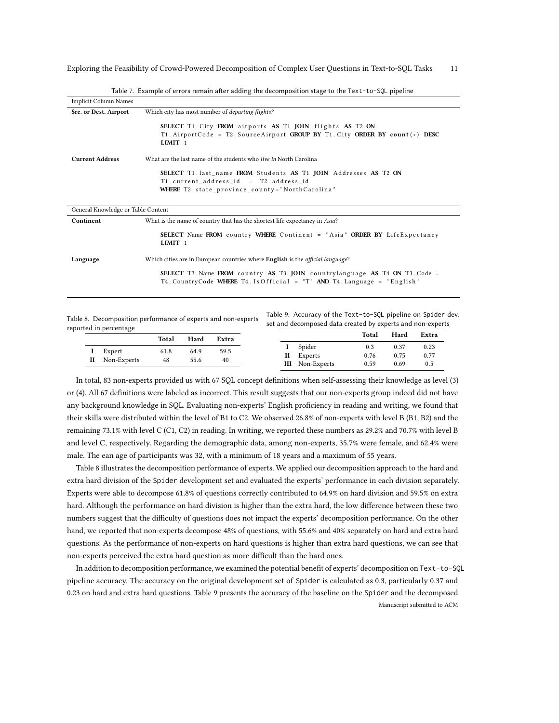<span id="page-10-0"></span>

| <b>Implicit Column Names</b>       |                                                                                                                                                                       |
|------------------------------------|-----------------------------------------------------------------------------------------------------------------------------------------------------------------------|
| Src. or Dest. Airport              | Which city has most number of <i>departing flights?</i>                                                                                                               |
|                                    | SELECT T1. City FROM airports AS T1 JOIN flights AS T2 ON<br>T1. AirportCode = T2. SourceAirport GROUP BY T1. City ORDER BY count(*) DESC<br>$LIMIT$ 1                |
| <b>Current Address</b>             | What are the last name of the students who live in North Carolina                                                                                                     |
|                                    | SELECT T1. last name FROM Students AS T1 JOIN Addresses AS T2 ON<br>T1. current address id = T2. address id<br><b>WHERE</b> T2. state province county="NorthCarolina" |
| General Knowledge or Table Content |                                                                                                                                                                       |
| Continent                          | What is the name of country that has the shortest life expectancy in Asia?                                                                                            |
|                                    | <b>SELECT</b> Name FROM country WHERE Continent = "Asia" ORDER BY LifeExpectancy<br>LIMIT <sub>1</sub>                                                                |

Table 7. Example of errors remain after adding the decomposition stage to the Text-to-SQL pipeline

Language Which cities are in European countries where English is the official language?

SELECT T3. Name FROM country AS T3 JOIN countrylanguage AS T4 ON T3. Code = T4. CountryCode WHERE T4. IsOfficial = "T" AND T4. Language = "English"

<span id="page-10-1"></span>Table 8. Decomposition performance of experts and non-experts reported in percentage

Table 9. Accuracy of the Text-to-SQL pipeline on Spider dev. set and decomposed data created by experts and non-experts

|                 | Total | Hard | Extra |                        | Total | Hard | Extra |
|-----------------|-------|------|-------|------------------------|-------|------|-------|
|                 |       |      |       | I Spider               | 0.3   | 0.37 | 0.23  |
| <b>I</b> Expert | 61.8  | 64.9 | 59.5  | II Experts             | 0.76  | 0.75 | 0.77  |
| II Non-Experts  | 48    | 55.6 | 40    | <b>III</b> Non-Experts | 0.59  | 0.69 | 0.5   |

In total, 83 non-experts provided us with 67 SQL concept definitions when self-assessing their knowledge as level (3) or (4). All 67 definitions were labeled as incorrect. This result suggests that our non-experts group indeed did not have any background knowledge in SQL. Evaluating non-experts' English proficiency in reading and writing, we found that their skills were distributed within the level of B1 to C2. We observed 26.8% of non-experts with level B (B1, B2) and the remaining 73.1% with level C (C1, C2) in reading. In writing, we reported these numbers as 29.2% and 70.7% with level B and level C, respectively. Regarding the demographic data, among non-experts, 35.7% were female, and 62.4% were male. The ean age of participants was 32, with a minimum of 18 years and a maximum of 55 years.

Table [8](#page-10-1) illustrates the decomposition performance of experts. We applied our decomposition approach to the hard and extra hard division of the Spider development set and evaluated the experts' performance in each division separately. Experts were able to decompose 61.8% of questions correctly contributed to 64.9% on hard division and 59.5% on extra hard. Although the performance on hard division is higher than the extra hard, the low difference between these two numbers suggest that the difficulty of questions does not impact the experts' decomposition performance. On the other hand, we reported that non-experts decompose 48% of questions, with 55.6% and 40% separately on hard and extra hard questions. As the performance of non-experts on hard questions is higher than extra hard questions, we can see that non-experts perceived the extra hard question as more difficult than the hard ones.

In addition to decomposition performance, we examined the potential benefit of experts' decomposition on Text-to-SQL pipeline accuracy. The accuracy on the original development set of Spider is calculated as 0.3, particularly 0.37 and 0.23 on hard and extra hard questions. Table [9](#page-10-1) presents the accuracy of the baseline on the Spider and the decomposed Manuscript submitted to ACM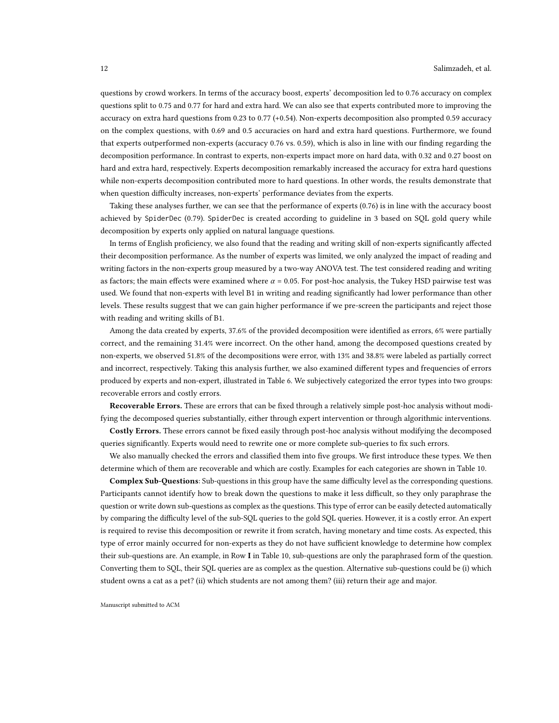questions by crowd workers. In terms of the accuracy boost, experts' decomposition led to 0.76 accuracy on complex questions split to 0.75 and 0.77 for hard and extra hard. We can also see that experts contributed more to improving the accuracy on extra hard questions from 0.23 to 0.77 (+0.54). Non-experts decomposition also prompted 0.59 accuracy on the complex questions, with 0.69 and 0.5 accuracies on hard and extra hard questions. Furthermore, we found that experts outperformed non-experts (accuracy 0.76 vs. 0.59), which is also in line with our finding regarding the decomposition performance. In contrast to experts, non-experts impact more on hard data, with 0.32 and 0.27 boost on hard and extra hard, respectively. Experts decomposition remarkably increased the accuracy for extra hard questions while non-experts decomposition contributed more to hard questions. In other words, the results demonstrate that when question difficulty increases, non-experts' performance deviates from the experts.

Taking these analyses further, we can see that the performance of experts (0.76) is in line with the accuracy boost achieved by SpiderDec (0.79). SpiderDec is created according to guideline in [3](#page-4-2) based on SQL gold query while decomposition by experts only applied on natural language questions.

In terms of English proficiency, we also found that the reading and writing skill of non-experts significantly affected their decomposition performance. As the number of experts was limited, we only analyzed the impact of reading and writing factors in the non-experts group measured by a two-way ANOVA test. The test considered reading and writing as factors; the main effects were examined where  $\alpha = 0.05$ . For post-hoc analysis, the Tukey HSD pairwise test was used. We found that non-experts with level B1 in writing and reading significantly had lower performance than other levels. These results suggest that we can gain higher performance if we pre-screen the participants and reject those with reading and writing skills of B1.

Among the data created by experts, 37.6% of the provided decomposition were identified as errors, 6% were partially correct, and the remaining 31.4% were incorrect. On the other hand, among the decomposed questions created by non-experts, we observed 51.8% of the decompositions were error, with 13% and 38.8% were labeled as partially correct and incorrect, respectively. Taking this analysis further, we also examined different types and frequencies of errors produced by experts and non-expert, illustrated in Table [6.](#page-9-0) We subjectively categorized the error types into two groups: recoverable errors and costly errors.

Recoverable Errors. These are errors that can be fixed through a relatively simple post-hoc analysis without modifying the decomposed queries substantially, either through expert intervention or through algorithmic interventions.

Costly Errors. These errors cannot be fixed easily through post-hoc analysis without modifying the decomposed queries significantly. Experts would need to rewrite one or more complete sub-queries to fix such errors.

We also manually checked the errors and classified them into five groups. We first introduce these types. We then determine which of them are recoverable and which are costly. Examples for each categories are shown in Table [10.](#page-12-0)

Complex Sub-Questions: Sub-questions in this group have the same difficulty level as the corresponding questions. Participants cannot identify how to break down the questions to make it less difficult, so they only paraphrase the question or write down sub-questions as complex as the questions. This type of error can be easily detected automatically by comparing the difficulty level of the sub-SQL queries to the gold SQL queries. However, it is a costly error. An expert is required to revise this decomposition or rewrite it from scratch, having monetary and time costs. As expected, this type of error mainly occurred for non-experts as they do not have sufficient knowledge to determine how complex their sub-questions are. An example, in Row I in Table [10,](#page-12-0) sub-questions are only the paraphrased form of the question. Converting them to SQL, their SQL queries are as complex as the question. Alternative sub-questions could be (i) which student owns a cat as a pet? (ii) which students are not among them? (iii) return their age and major.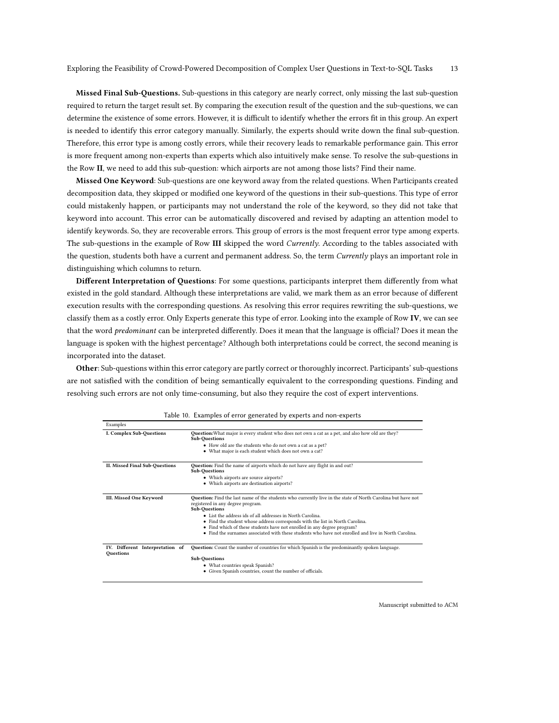Missed Final Sub-Questions. Sub-questions in this category are nearly correct, only missing the last sub-question required to return the target result set. By comparing the execution result of the question and the sub-questions, we can determine the existence of some errors. However, it is difficult to identify whether the errors fit in this group. An expert is needed to identify this error category manually. Similarly, the experts should write down the final sub-question. Therefore, this error type is among costly errors, while their recovery leads to remarkable performance gain. This error is more frequent among non-experts than experts which also intuitively make sense. To resolve the sub-questions in the Row II, we need to add this sub-question: which airports are not among those lists? Find their name.

Missed One Keyword: Sub-questions are one keyword away from the related questions. When Participants created decomposition data, they skipped or modified one keyword of the questions in their sub-questions. This type of error could mistakenly happen, or participants may not understand the role of the keyword, so they did not take that keyword into account. This error can be automatically discovered and revised by adapting an attention model to identify keywords. So, they are recoverable errors. This group of errors is the most frequent error type among experts. The sub-questions in the example of Row III skipped the word Currently. According to the tables associated with the question, students both have a current and permanent address. So, the term *Currently* plays an important role in distinguishing which columns to return.

Different Interpretation of Questions: For some questions, participants interpret them differently from what existed in the gold standard. Although these interpretations are valid, we mark them as an error because of different execution results with the corresponding questions. As resolving this error requires rewriting the sub-questions, we classify them as a costly error. Only Experts generate this type of error. Looking into the example of Row IV, we can see that the word *predominant* can be interpreted differently. Does it mean that the language is official? Does it mean the language is spoken with the highest percentage? Although both interpretations could be correct, the second meaning is incorporated into the dataset.

Other: Sub-questions within this error category are partly correct or thoroughly incorrect. Participants' sub-questions are not satisfied with the condition of being semantically equivalent to the corresponding questions. Finding and resolving such errors are not only time-consuming, but also they require the cost of expert interventions.

<span id="page-12-0"></span>

| Examples                                            |                                                                                                                                                                          |  |  |  |  |  |  |
|-----------------------------------------------------|--------------------------------------------------------------------------------------------------------------------------------------------------------------------------|--|--|--|--|--|--|
| <b>I. Complex Sub-Ouestions</b>                     | Question: What major is every student who does not own a cat as a pet, and also how old are they?<br><b>Sub-Ouestions</b>                                                |  |  |  |  |  |  |
|                                                     | • How old are the students who do not own a cat as a pet?                                                                                                                |  |  |  |  |  |  |
|                                                     | • What major is each student which does not own a cat?                                                                                                                   |  |  |  |  |  |  |
| II. Missed Final Sub-Ouestions                      | <b>Question:</b> Find the name of airports which do not have any flight in and out?<br><b>Sub-Ouestions</b>                                                              |  |  |  |  |  |  |
|                                                     | • Which airports are source airports?                                                                                                                                    |  |  |  |  |  |  |
|                                                     | • Which airports are destination airports?                                                                                                                               |  |  |  |  |  |  |
| III. Missed One Keyword                             | Question: Find the last name of the students who currently live in the state of North Carolina but have not<br>registered in any degree program.<br><b>Sub-Ouestions</b> |  |  |  |  |  |  |
|                                                     | • List the address ids of all addresses in North Carolina.                                                                                                               |  |  |  |  |  |  |
|                                                     | • Find the student whose address corresponds with the list in North Carolina.                                                                                            |  |  |  |  |  |  |
|                                                     | • Find which of these students have not enrolled in any degree program?                                                                                                  |  |  |  |  |  |  |
|                                                     | • Find the surnames associated with these students who have not enrolled and live in North Carolina.                                                                     |  |  |  |  |  |  |
| IV. Different Interpretation of<br><b>Ouestions</b> | <b>Question:</b> Count the number of countries for which Spanish is the predominantly spoken language.                                                                   |  |  |  |  |  |  |
|                                                     | <b>Sub-Questions</b>                                                                                                                                                     |  |  |  |  |  |  |
|                                                     | • What countries speak Spanish?                                                                                                                                          |  |  |  |  |  |  |
|                                                     | • Given Spanish countries, count the number of officials.                                                                                                                |  |  |  |  |  |  |

|  | Table 10. Examples of error generated by experts and non-experts |  |  |  |  |  |  |
|--|------------------------------------------------------------------|--|--|--|--|--|--|
|--|------------------------------------------------------------------|--|--|--|--|--|--|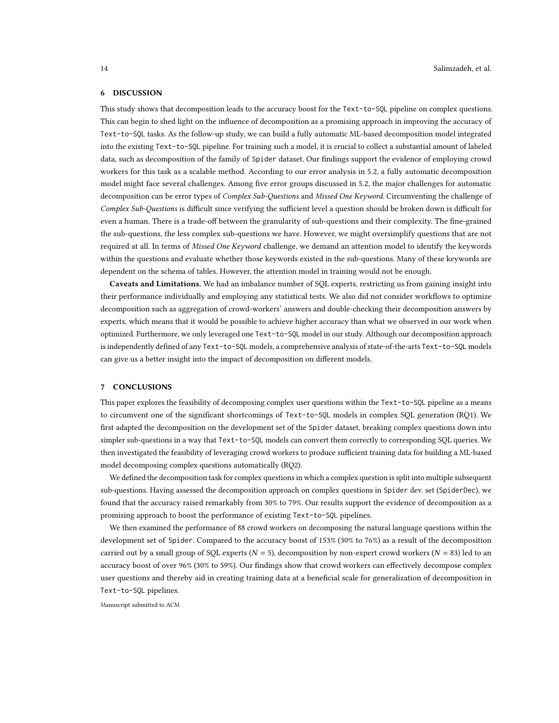# 6 DISCUSSION

This study shows that decomposition leads to the accuracy boost for the Text-to-SQL pipeline on complex questions. This can begin to shed light on the influence of decomposition as a promising approach in improving the accuracy of Text-to-SQL tasks. As the follow-up study, we can build a fully automatic ML-based decomposition model integrated into the existing Text-to-SQL pipeline. For training such a model, it is crucial to collect a substantial amount of labeled data, such as decomposition of the family of Spider dataset. Our findings support the evidence of employing crowd workers for this task as a scalable method. According to our error analysis in [5.2,](#page-9-1) a fully automatic decomposition model might face several challenges. Among five error groups discussed in [5.2,](#page-9-1) the major challenges for automatic decomposition can be error types of Complex Sub-Questions and Missed One Keyword. Circumventing the challenge of Complex Sub-Questions is difficult since verifying the sufficient level a question should be broken down is difficult for even a human. There is a trade-off between the granularity of sub-questions and their complexity. The fine-grained the sub-questions, the less complex sub-questions we have. However, we might oversimplify questions that are not required at all. In terms of Missed One Keyword challenge, we demand an attention model to identify the keywords within the questions and evaluate whether those keywords existed in the sub-questions. Many of these keywords are dependent on the schema of tables. However, the attention model in training would not be enough.

Caveats and Limitations. We had an imbalance number of SQL experts, restricting us from gaining insight into their performance individually and employing any statistical tests. We also did not consider workflows to optimize decomposition such as aggregation of crowd-workers' answers and double-checking their decomposition answers by experts, which means that it would be possible to achieve higher accuracy than what we observed in our work when optimized. Furthermore, we only leveraged one Text-to-SQL model in our study. Although our decomposition approach is independently defined of any Text-to-SQL models, a comprehensive analysis of state-of-the-arts Text-to-SQL models can give us a better insight into the impact of decomposition on different models.

#### 7 CONCLUSIONS

This paper explores the feasibility of decomposing complex user questions within the Text-to-SQL pipeline as a means to circumvent one of the significant shortcomings of Text-to-SQL models in complex SQL generation (RQ1). We first adapted the decomposition on the development set of the Spider dataset, breaking complex questions down into simpler sub-questions in a way that Text-to-SQL models can convert them correctly to corresponding SQL queries. We then investigated the feasibility of leveraging crowd workers to produce sufficient training data for building a ML-based model decomposing complex questions automatically (RQ2).

We defined the decomposition task for complex questions in which a complex question is split into multiple subsequent sub-questions. Having assessed the decomposition approach on complex questions in Spider dev. set (SpiderDec), we found that the accuracy raised remarkably from 30% to 79%. Our results support the evidence of decomposition as a promising approach to boost the performance of existing Text-to-SQL pipelines.

We then examined the performance of 88 crowd workers on decomposing the natural language questions within the development set of Spider. Compared to the accuracy boost of 153% (30% to 76%) as a result of the decomposition carried out by a small group of SQL experts ( $N = 5$ ), decomposition by non-expert crowd workers ( $N = 83$ ) led to an accuracy boost of over 96% (30% to 59%). Our findings show that crowd workers can effectively decompose complex user questions and thereby aid in creating training data at a beneficial scale for generalization of decomposition in Text-to-SQL pipelines.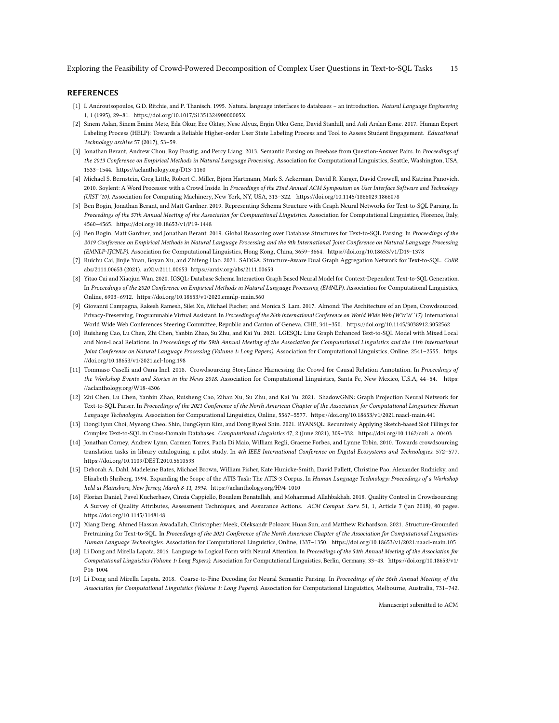Exploring the Feasibility of Crowd-Powered Decomposition of Complex User Questions in Text-to-SQL Tasks 15

#### REFERENCES

- <span id="page-14-4"></span>[1] I. Androutsopoulos, G.D. Ritchie, and P. Thanisch. 1995. Natural language interfaces to databases - an introduction. Natural Language Engineering 1, 1 (1995), 29–81.<https://doi.org/10.1017/S135132490000005X>
- <span id="page-14-18"></span>[2] Sinem Aslan, Sinem Emine Mete, Eda Okur, Ece Oktay, Nese Alyuz, Ergin Utku Genc, David Stanhill, and Asli Arslan Esme. 2017. Human Expert Labeling Process (HELP): Towards a Reliable Higher-order User State Labeling Process and Tool to Assess Student Engagement. Educational Technology archive 57 (2017), 53–59.
- <span id="page-14-0"></span>[3] Jonathan Berant, Andrew Chou, Roy Frostig, and Percy Liang. 2013. Semantic Parsing on Freebase from Question-Answer Pairs. In Proceedings of the 2013 Conference on Empirical Methods in Natural Language Processing. Association for Computational Linguistics, Seattle, Washington, USA, 1533–1544.<https://aclanthology.org/D13-1160>
- <span id="page-14-14"></span>[4] Michael S. Bernstein, Greg Little, Robert C. Miller, Björn Hartmann, Mark S. Ackerman, David R. Karger, David Crowell, and Katrina Panovich. 2010. Soylent: A Word Processor with a Crowd Inside. In Proceedings of the 23nd Annual ACM Symposium on User Interface Software and Technology (UIST '10). Association for Computing Machinery, New York, NY, USA, 313–322.<https://doi.org/10.1145/1866029.1866078>
- <span id="page-14-7"></span>[5] Ben Bogin, Jonathan Berant, and Matt Gardner. 2019. Representing Schema Structure with Graph Neural Networks for Text-to-SQL Parsing. In Proceedings of the 57th Annual Meeting of the Association for Computational Linguistics. Association for Computational Linguistics, Florence, Italy, 4560–4565.<https://doi.org/10.18653/v1/P19-1448>
- <span id="page-14-8"></span>[6] Ben Bogin, Matt Gardner, and Jonathan Berant. 2019. Global Reasoning over Database Structures for Text-to-SQL Parsing. In Proceedings of the 2019 Conference on Empirical Methods in Natural Language Processing and the 9th International Joint Conference on Natural Language Processing (EMNLP-IJCNLP). Association for Computational Linguistics, Hong Kong, China, 3659–3664.<https://doi.org/10.18653/v1/D19-1378>
- <span id="page-14-11"></span>[7] Ruichu Cai, Jinjie Yuan, Boyan Xu, and Zhifeng Hao. 2021. SADGA: Structure-Aware Dual Graph Aggregation Network for Text-to-SQL. CoRR abs/2111.00653 (2021). arXiv:2111.00653<https://arxiv.org/abs/2111.00653>
- <span id="page-14-13"></span>[8] Yitao Cai and Xiaojun Wan. 2020. IGSQL: Database Schema Interaction Graph Based Neural Model for Context-Dependent Text-to-SQL Generation. In Proceedings of the 2020 Conference on Empirical Methods in Natural Language Processing (EMNLP). Association for Computational Linguistics, Online, 6903–6912.<https://doi.org/10.18653/v1/2020.emnlp-main.560>
- <span id="page-14-1"></span>[9] Giovanni Campagna, Rakesh Ramesh, Silei Xu, Michael Fischer, and Monica S. Lam. 2017. Almond: The Architecture of an Open, Crowdsourced, Privacy-Preserving, Programmable Virtual Assistant. In Proceedings of the 26th International Conference on World Wide Web (WWW '17). International World Wide Web Conferences Steering Committee, Republic and Canton of Geneva, CHE, 341–350.<https://doi.org/10.1145/3038912.3052562>
- <span id="page-14-9"></span>[10] Ruisheng Cao, Lu Chen, Zhi Chen, Yanbin Zhao, Su Zhu, and Kai Yu. 2021. LGESQL: Line Graph Enhanced Text-to-SQL Model with Mixed Local and Non-Local Relations. In Proceedings of the 59th Annual Meeting of the Association for Computational Linguistics and the 11th International Joint Conference on Natural Language Processing (Volume 1: Long Papers). Association for Computational Linguistics, Online, 2541–2555. [https:](https://doi.org/10.18653/v1/2021.acl-long.198) [//doi.org/10.18653/v1/2021.acl-long.198](https://doi.org/10.18653/v1/2021.acl-long.198)
- <span id="page-14-15"></span>[11] Tommaso Caselli and Oana Inel. 2018. Crowdsourcing StoryLines: Harnessing the Crowd for Causal Relation Annotation. In Proceedings of the Workshop Events and Stories in the News 2018. Association for Computational Linguistics, Santa Fe, New Mexico, U.S.A, 44-54. [https:](https://aclanthology.org/W18-4306) [//aclanthology.org/W18-4306](https://aclanthology.org/W18-4306)
- <span id="page-14-10"></span>[12] Zhi Chen, Lu Chen, Yanbin Zhao, Ruisheng Cao, Zihan Xu, Su Zhu, and Kai Yu. 2021. ShadowGNN: Graph Projection Neural Network for Text-to-SQL Parser. In Proceedings of the 2021 Conference of the North American Chapter of the Association for Computational Linguistics: Human Language Technologies. Association for Computational Linguistics, Online, 5567–5577.<https://doi.org/10.18653/v1/2021.naacl-main.441>
- <span id="page-14-5"></span>[13] DongHyun Choi, Myeong Cheol Shin, EungGyun Kim, and Dong Ryeol Shin. 2021. RYANSQL: Recursively Applying Sketch-based Slot Fillings for Complex Text-to-SQL in Cross-Domain Databases. Computational Linguistics 47, 2 (June 2021), 309–332. [https://doi.org/10.1162/coli\\_a\\_00403](https://doi.org/10.1162/coli_a_00403)
- <span id="page-14-16"></span>[14] Jonathan Corney, Andrew Lynn, Carmen Torres, Paola Di Maio, William Regli, Graeme Forbes, and Lynne Tobin. 2010. Towards crowdsourcing translation tasks in library cataloguing, a pilot study. In 4th IEEE International Conference on Digital Ecosystems and Technologies. 572–577. <https://doi.org/10.1109/DEST.2010.5610593>
- <span id="page-14-3"></span>[15] Deborah A. Dahl, Madeleine Bates, Michael Brown, William Fisher, Kate Hunicke-Smith, David Pallett, Christine Pao, Alexander Rudnicky, and Elizabeth Shriberg. 1994. Expanding the Scope of the ATIS Task: The ATIS-3 Corpus. In Human Language Technology: Proceedings of a Workshop held at Plainsboro, New Jersey, March 8-11, 1994.<https://aclanthology.org/H94-1010>
- <span id="page-14-17"></span>[16] Florian Daniel, Pavel Kucherbaev, Cinzia Cappiello, Boualem Benatallah, and Mohammad Allahbakhsh. 2018. Quality Control in Crowdsourcing: A Survey of Quality Attributes, Assessment Techniques, and Assurance Actions. ACM Comput. Surv. 51, 1, Article 7 (jan 2018), 40 pages. <https://doi.org/10.1145/3148148>
- <span id="page-14-12"></span>[17] Xiang Deng, Ahmed Hassan Awadallah, Christopher Meek, Oleksandr Polozov, Huan Sun, and Matthew Richardson. 2021. Structure-Grounded Pretraining for Text-to-SQL. In Proceedings of the 2021 Conference of the North American Chapter of the Association for Computational Linguistics: Human Language Technologies. Association for Computational Linguistics, Online, 1337–1350.<https://doi.org/10.18653/v1/2021.naacl-main.105>
- <span id="page-14-2"></span>[18] Li Dong and Mirella Lapata. 2016. Language to Logical Form with Neural Attention. In Proceedings of the 54th Annual Meeting of the Association for Computational Linguistics (Volume 1: Long Papers). Association for Computational Linguistics, Berlin, Germany, 33–43. [https://doi.org/10.18653/v1/](https://doi.org/10.18653/v1/P16-1004) [P16-1004](https://doi.org/10.18653/v1/P16-1004)
- <span id="page-14-6"></span>[19] Li Dong and Mirella Lapata. 2018. Coarse-to-Fine Decoding for Neural Semantic Parsing. In Proceedings of the 56th Annual Meeting of the Association for Computational Linguistics (Volume 1: Long Papers). Association for Computational Linguistics, Melbourne, Australia, 731–742.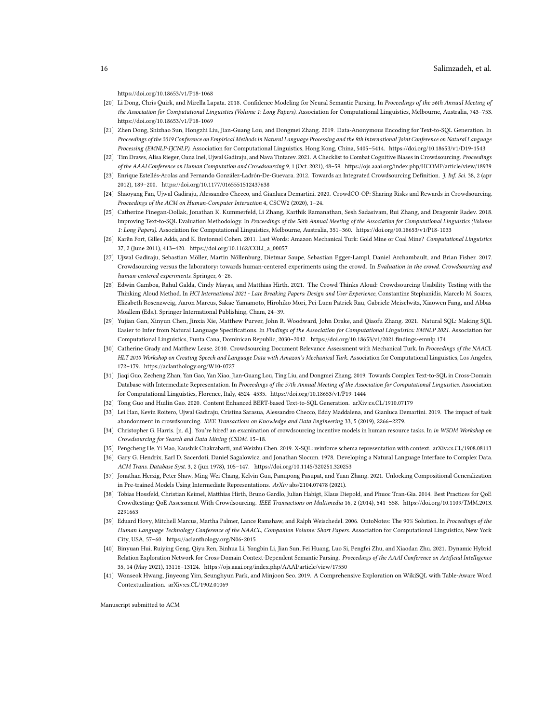<https://doi.org/10.18653/v1/P18-1068>

- <span id="page-15-6"></span>[20] Li Dong, Chris Quirk, and Mirella Lapata. 2018. Confidence Modeling for Neural Semantic Parsing. In Proceedings of the 56th Annual Meeting of the Association for Computational Linguistics (Volume 1: Long Papers). Association for Computational Linguistics, Melbourne, Australia, 743–753. <https://doi.org/10.18653/v1/P18-1069>
- <span id="page-15-11"></span>[21] Zhen Dong, Shizhao Sun, Hongzhi Liu, Jian-Guang Lou, and Dongmei Zhang. 2019. Data-Anonymous Encoding for Text-to-SQL Generation. In Proceedings of the 2019 Conference on Empirical Methods in Natural Language Processing and the 9th International Joint Conference on Natural Language Processing (EMNLP-IJCNLP). Association for Computational Linguistics, Hong Kong, China, 5405–5414.<https://doi.org/10.18653/v1/D19-1543>
- <span id="page-15-21"></span>[22] Tim Draws, Alisa Rieger, Oana Inel, Ujwal Gadiraju, and Nava Tintarev. 2021. A Checklist to Combat Cognitive Biases in Crowdsourcing. Proceedings of the AAAI Conference on Human Computation and Crowdsourcing 9, 1 (Oct. 2021), 48–59.<https://ojs.aaai.org/index.php/HCOMP/article/view/18939>
- <span id="page-15-13"></span>[23] Enrique Estellés-Arolas and Fernando González-Ladrón-De-Guevara. 2012. Towards an Integrated Crowdsourcing Definition. J. Inf. Sci. 38, 2 (apr 2012), 189–200.<https://doi.org/10.1177/0165551512437638>
- <span id="page-15-17"></span>[24] Shaoyang Fan, Ujwal Gadiraju, Alessandro Checco, and Gianluca Demartini. 2020. CrowdCO-OP: Sharing Risks and Rewards in Crowdsourcing. Proceedings of the ACM on Human-Computer Interaction 4, CSCW2 (2020), 1–24.
- <span id="page-15-0"></span>[25] Catherine Finegan-Dollak, Jonathan K. Kummerfeld, Li Zhang, Karthik Ramanathan, Sesh Sadasivam, Rui Zhang, and Dragomir Radev. 2018. Improving Text-to-SQL Evaluation Methodology. In Proceedings of the 56th Annual Meeting of the Association for Computational Linguistics (Volume 1: Long Papers). Association for Computational Linguistics, Melbourne, Australia, 351–360.<https://doi.org/10.18653/v1/P18-1033>
- <span id="page-15-16"></span>[26] Karën Fort, Gilles Adda, and K. Bretonnel Cohen. 2011. Last Words: Amazon Mechanical Turk: Gold Mine or Coal Mine? Computational Linguistics 37, 2 (June 2011), 413–420. [https://doi.org/10.1162/COLI\\_a\\_00057](https://doi.org/10.1162/COLI_a_00057)
- <span id="page-15-14"></span>[27] Ujwal Gadiraju, Sebastian Möller, Martin Nöllenburg, Dietmar Saupe, Sebastian Egger-Lampl, Daniel Archambault, and Brian Fisher. 2017. Crowdsourcing versus the laboratory: towards human-centered experiments using the crowd. In Evaluation in the crowd. Crowdsourcing and human-centered experiments. Springer, 6–26.
- <span id="page-15-19"></span>[28] Edwin Gamboa, Rahul Galda, Cindy Mayas, and Matthias Hirth. 2021. The Crowd Thinks Aloud: Crowdsourcing Usability Testing with the Thinking Aloud Method. In HCI International 2021 - Late Breaking Papers: Design and User Experience, Constantine Stephanidis, Marcelo M. Soares, Elizabeth Rosenzweig, Aaron Marcus, Sakae Yamamoto, Hirohiko Mori, Pei-Luen Patrick Rau, Gabriele Meiselwitz, Xiaowen Fang, and Abbas Moallem (Eds.). Springer International Publishing, Cham, 24–39.
- <span id="page-15-8"></span>[29] Yujian Gan, Xinyun Chen, Jinxia Xie, Matthew Purver, John R. Woodward, John Drake, and Qiaofu Zhang. 2021. Natural SQL: Making SQL Easier to Infer from Natural Language Specifications. In Findings of the Association for Computational Linguistics: EMNLP 2021. Association for Computational Linguistics, Punta Cana, Dominican Republic, 2030–2042.<https://doi.org/10.18653/v1/2021.findings-emnlp.174>
- <span id="page-15-15"></span>[30] Catherine Grady and Matthew Lease. 2010. Crowdsourcing Document Relevance Assessment with Mechanical Turk. In Proceedings of the NAACL HLT 2010 Workshop on Creating Speech and Language Data with Amazon's Mechanical Turk. Association for Computational Linguistics, Los Angeles, 172–179.<https://aclanthology.org/W10-0727>
- <span id="page-15-9"></span>[31] Jiaqi Guo, Zecheng Zhan, Yan Gao, Yan Xiao, Jian-Guang Lou, Ting Liu, and Dongmei Zhang. 2019. Towards Complex Text-to-SQL in Cross-Domain Database with Intermediate Representation. In Proceedings of the 57th Annual Meeting of the Association for Computational Linguistics. Association for Computational Linguistics, Florence, Italy, 4524–4535.<https://doi.org/10.18653/v1/P19-1444>
- <span id="page-15-4"></span>[32] Tong Guo and Huilin Gao. 2020. Content Enhanced BERT-based Text-to-SQL Generation. arXiv[:cs.CL/1910.07179](http://arxiv.org/abs/cs.CL/1910.07179)
- <span id="page-15-18"></span>[33] Lei Han, Kevin Roitero, Ujwal Gadiraju, Cristina Sarasua, Alessandro Checco, Eddy Maddalena, and Gianluca Demartini. 2019. The impact of task abandonment in crowdsourcing. IEEE Transactions on Knowledge and Data Engineering 33, 5 (2019), 2266–2279.
- <span id="page-15-1"></span>[34] Christopher G. Harris. [n. d.]. You're hired! an examination of crowdsourcing incentive models in human resource tasks. In in WSDM Workshop on Crowdsourcing for Search and Data Mining (CSDM. 15–18.
- <span id="page-15-5"></span>[35] Pengcheng He, Yi Mao, Kaushik Chakrabarti, and Weizhu Chen. 2019. X-SQL: reinforce schema representation with context. arXiv[:cs.CL/1908.08113](http://arxiv.org/abs/cs.CL/1908.08113)
- <span id="page-15-3"></span>[36] Gary G. Hendrix, Earl D. Sacerdoti, Daniel Sagalowicz, and Jonathan Slocum. 1978. Developing a Natural Language Interface to Complex Data. ACM Trans. Database Syst. 3, 2 (jun 1978), 105–147.<https://doi.org/10.1145/320251.320253>
- <span id="page-15-10"></span>[37] Jonathan Herzig, Peter Shaw, Ming-Wei Chang, Kelvin Guu, Panupong Pasupat, and Yuan Zhang. 2021. Unlocking Compositional Generalization in Pre-trained Models Using Intermediate Representations. ArXiv abs/2104.07478 (2021).
- <span id="page-15-20"></span>[38] Tobias Hossfeld, Christian Keimel, Matthias Hirth, Bruno Gardlo, Julian Habigt, Klaus Diepold, and Phuoc Tran-Gia. 2014. Best Practices for QoE Crowdtesting: QoE Assessment With Crowdsourcing. IEEE Transactions on Multimedia 16, 2 (2014), 541–558. [https://doi.org/10.1109/TMM.2013.](https://doi.org/10.1109/TMM.2013.2291663) [2291663](https://doi.org/10.1109/TMM.2013.2291663)
- <span id="page-15-2"></span>[39] Eduard Hovy, Mitchell Marcus, Martha Palmer, Lance Ramshaw, and Ralph Weischedel. 2006. OntoNotes: The 90% Solution. In Proceedings of the Human Language Technology Conference of the NAACL, Companion Volume: Short Papers. Association for Computational Linguistics, New York City, USA, 57–60.<https://aclanthology.org/N06-2015>
- <span id="page-15-12"></span>[40] Binyuan Hui, Ruiying Geng, Qiyu Ren, Binhua Li, Yongbin Li, Jian Sun, Fei Huang, Luo Si, Pengfei Zhu, and Xiaodan Zhu. 2021. Dynamic Hybrid Relation Exploration Network for Cross-Domain Context-Dependent Semantic Parsing. Proceedings of the AAAI Conference on Artificial Intelligence 35, 14 (May 2021), 13116–13124.<https://ojs.aaai.org/index.php/AAAI/article/view/17550>
- <span id="page-15-7"></span>[41] Wonseok Hwang, Jinyeong Yim, Seunghyun Park, and Minjoon Seo. 2019. A Comprehensive Exploration on WikiSQL with Table-Aware Word Contextualization. arXiv[:cs.CL/1902.01069](http://arxiv.org/abs/cs.CL/1902.01069)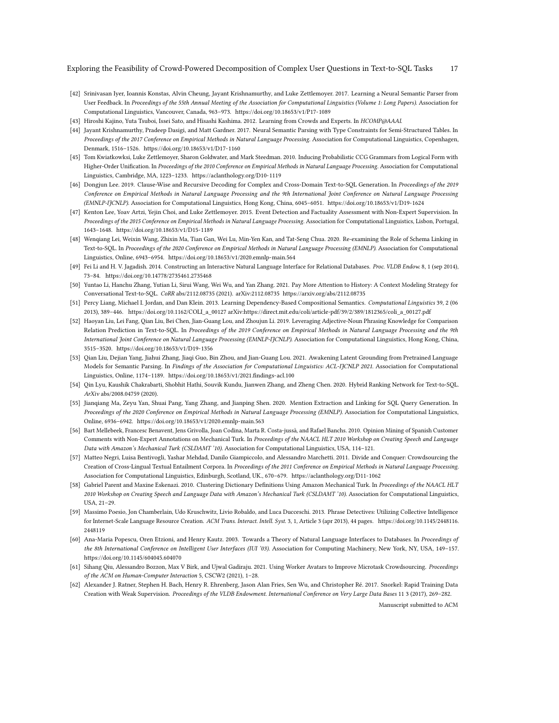- <span id="page-16-0"></span>[42] Srinivasan Iyer, Ioannis Konstas, Alvin Cheung, Jayant Krishnamurthy, and Luke Zettlemoyer. 2017. Learning a Neural Semantic Parser from User Feedback. In Proceedings of the 55th Annual Meeting of the Association for Computational Linguistics (Volume 1: Long Papers). Association for Computational Linguistics, Vancouver, Canada, 963–973.<https://doi.org/10.18653/v1/P17-1089>
- <span id="page-16-17"></span>[43] Hiroshi Kajino, Yuta Tsuboi, Issei Sato, and Hisashi Kashima. 2012. Learning from Crowds and Experts. In HCOMP@AAAI.
- <span id="page-16-6"></span>[44] Jayant Krishnamurthy, Pradeep Dasigi, and Matt Gardner. 2017. Neural Semantic Parsing with Type Constraints for Semi-Structured Tables. In Proceedings of the 2017 Conference on Empirical Methods in Natural Language Processing. Association for Computational Linguistics, Copenhagen, Denmark, 1516–1526.<https://doi.org/10.18653/v1/D17-1160>
- <span id="page-16-5"></span>[45] Tom Kwiatkowksi, Luke Zettlemoyer, Sharon Goldwater, and Mark Steedman. 2010. Inducing Probabilistic CCG Grammars from Logical Form with Higher-Order Unification. In Proceedings of the 2010 Conference on Empirical Methods in Natural Language Processing. Association for Computational Linguistics, Cambridge, MA, 1223–1233.<https://aclanthology.org/D10-1119>
- <span id="page-16-12"></span>[46] Dongjun Lee. 2019. Clause-Wise and Recursive Decoding for Complex and Cross-Domain Text-to-SQL Generation. In Proceedings of the 2019 Conference on Empirical Methods in Natural Language Processing and the 9th International Joint Conference on Natural Language Processing (EMNLP-IJCNLP). Association for Computational Linguistics, Hong Kong, China, 6045–6051.<https://doi.org/10.18653/v1/D19-1624>
- <span id="page-16-14"></span>[47] Kenton Lee, Yoav Artzi, Yejin Choi, and Luke Zettlemoyer. 2015. Event Detection and Factuality Assessment with Non-Expert Supervision. In Proceedings of the 2015 Conference on Empirical Methods in Natural Language Processing. Association for Computational Linguistics, Lisbon, Portugal, 1643–1648.<https://doi.org/10.18653/v1/D15-1189>
- <span id="page-16-9"></span>[48] Wenqiang Lei, Weixin Wang, Zhixin Ma, Tian Gan, Wei Lu, Min-Yen Kan, and Tat-Seng Chua. 2020. Re-examining the Role of Schema Linking in Text-to-SQL. In Proceedings of the 2020 Conference on Empirical Methods in Natural Language Processing (EMNLP). Association for Computational Linguistics, Online, 6943–6954.<https://doi.org/10.18653/v1/2020.emnlp-main.564>
- <span id="page-16-2"></span>[49] Fei Li and H. V. Jagadish. 2014. Constructing an Interactive Natural Language Interface for Relational Databases. Proc. VLDB Endow. 8, 1 (sep 2014), 73–84.<https://doi.org/10.14778/2735461.2735468>
- <span id="page-16-13"></span>[50] Yuntao Li, Hanchu Zhang, Yutian Li, Sirui Wang, Wei Wu, and Yan Zhang. 2021. Pay More Attention to History: A Context Modeling Strategy for Conversational Text-to-SQL. CoRR abs/2112.08735 (2021). arXiv:2112.08735<https://arxiv.org/abs/2112.08735>
- <span id="page-16-3"></span>[51] Percy Liang, Michael I. Jordan, and Dan Klein. 2013. Learning Dependency-Based Compositional Semantics. Computational Linguistics 39, 2 (06 2013), 389–446. [https://doi.org/10.1162/COLI\\_a\\_00127](https://doi.org/10.1162/COLI_a_00127) arXiv[:https://direct.mit.edu/coli/article-pdf/39/2/389/1812365/coli\\_a\\_00127.pdf](http://arxiv.org/abs/https://direct.mit.edu/coli/article-pdf/39/2/389/1812365/coli_a_00127.pdf)
- <span id="page-16-10"></span>[52] Haoyan Liu, Lei Fang, Qian Liu, Bei Chen, Jian-Guang Lou, and Zhoujun Li. 2019. Leveraging Adjective-Noun Phrasing Knowledge for Comparison Relation Prediction in Text-to-SQL. In Proceedings of the 2019 Conference on Empirical Methods in Natural Language Processing and the 9th International Joint Conference on Natural Language Processing (EMNLP-IJCNLP). Association for Computational Linguistics, Hong Kong, China, 3515–3520.<https://doi.org/10.18653/v1/D19-1356>
- <span id="page-16-11"></span>[53] Qian Liu, Dejian Yang, Jiahui Zhang, Jiaqi Guo, Bin Zhou, and Jian-Guang Lou. 2021. Awakening Latent Grounding from Pretrained Language Models for Semantic Parsing. In Findings of the Association for Computational Linguistics: ACL-IJCNLP 2021. Association for Computational Linguistics, Online, 1174–1189.<https://doi.org/10.18653/v1/2021.findings-acl.100>
- <span id="page-16-7"></span>[54] Qin Lyu, Kaushik Chakrabarti, Shobhit Hathi, Souvik Kundu, Jianwen Zhang, and Zheng Chen. 2020. Hybrid Ranking Network for Text-to-SQL. ArXiv abs/2008.04759 (2020).
- <span id="page-16-8"></span>[55] Jianqiang Ma, Zeyu Yan, Shuai Pang, Yang Zhang, and Jianping Shen. 2020. Mention Extraction and Linking for SQL Query Generation. In Proceedings of the 2020 Conference on Empirical Methods in Natural Language Processing (EMNLP). Association for Computational Linguistics, Online, 6936–6942.<https://doi.org/10.18653/v1/2020.emnlp-main.563>
- <span id="page-16-1"></span>[56] Bart Mellebeek, Francesc Benavent, Jens Grivolla, Joan Codina, Marta R. Costa-jussà, and Rafael Banchs. 2010. Opinion Mining of Spanish Customer Comments with Non-Expert Annotations on Mechanical Turk. In Proceedings of the NAACL HLT 2010 Workshop on Creating Speech and Language Data with Amazon's Mechanical Turk (CSLDAMT '10). Association for Computational Linguistics, USA, 114–121.
- [57] Matteo Negri, Luisa Bentivogli, Yashar Mehdad, Danilo Giampiccolo, and Alessandro Marchetti. 2011. Divide and Conquer: Crowdsourcing the Creation of Cross-Lingual Textual Entailment Corpora. In Proceedings of the 2011 Conference on Empirical Methods in Natural Language Processing. Association for Computational Linguistics, Edinburgh, Scotland, UK., 670–679.<https://aclanthology.org/D11-1062>
- [58] Gabriel Parent and Maxine Eskenazi. 2010. Clustering Dictionary Definitions Using Amazon Mechanical Turk. In Proceedings of the NAACL HLT 2010 Workshop on Creating Speech and Language Data with Amazon's Mechanical Turk (CSLDAMT '10). Association for Computational Linguistics, USA, 21–29.
- <span id="page-16-15"></span>[59] Massimo Poesio, Jon Chamberlain, Udo Kruschwitz, Livio Robaldo, and Luca Ducceschi. 2013. Phrase Detectives: Utilizing Collective Intelligence for Internet-Scale Language Resource Creation. ACM Trans. Interact. Intell. Syst. 3, 1, Article 3 (apr 2013), 44 pages. [https://doi.org/10.1145/2448116.](https://doi.org/10.1145/2448116.2448119) [2448119](https://doi.org/10.1145/2448116.2448119)
- <span id="page-16-4"></span>[60] Ana-Maria Popescu, Oren Etzioni, and Henry Kautz. 2003. Towards a Theory of Natural Language Interfaces to Databases. In Proceedings of the 8th International Conference on Intelligent User Interfaces (IUI '03). Association for Computing Machinery, New York, NY, USA, 149–157. <https://doi.org/10.1145/604045.604070>
- <span id="page-16-16"></span>[61] Sihang Qiu, Alessandro Bozzon, Max V Birk, and Ujwal Gadiraju. 2021. Using Worker Avatars to Improve Microtask Crowdsourcing. Proceedings of the ACM on Human-Computer Interaction 5, CSCW2 (2021), 1–28.
- <span id="page-16-18"></span>[62] Alexander J. Ratner, Stephen H. Bach, Henry R. Ehrenberg, Jason Alan Fries, Sen Wu, and Christopher Ré. 2017. Snorkel: Rapid Training Data Creation with Weak Supervision. Proceedings of the VLDB Endowment. International Conference on Very Large Data Bases 11 3 (2017), 269–282.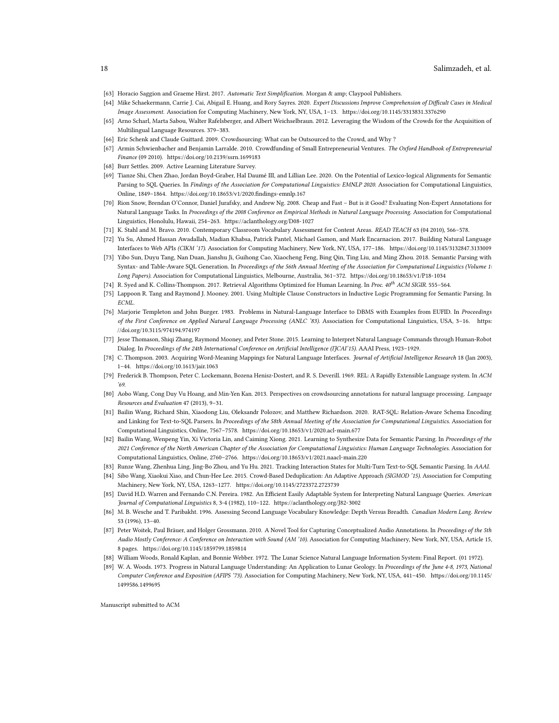- <span id="page-17-2"></span>[63] Horacio Saggion and Graeme Hirst. 2017. Automatic Text Simplification. Morgan & amp; Claypool Publishers.
- <span id="page-17-3"></span>[64] Mike Schaekermann, Carrie J. Cai, Abigail E. Huang, and Rory Sayres. 2020. Expert Discussions Improve Comprehension of Difficult Cases in Medical Image Assessment. Association for Computing Machinery, New York, NY, USA, 1–13.<https://doi.org/10.1145/3313831.3376290>
- <span id="page-17-19"></span>[65] Arno Scharl, Marta Sabou, Walter Rafelsberger, and Albert Weichselbraun. 2012. Leveraging the Wisdom of the Crowds for the Acquisition of Multilingual Language Resources. 379–383.
- <span id="page-17-4"></span>[66] Eric Schenk and Claude Guittard. 2009. Crowdsourcing: What can be Outsourced to the Crowd, and Why ?
- <span id="page-17-5"></span>[67] Armin Schwienbacher and Benjamin Larralde. 2010. Crowdfunding of Small Entrepreneurial Ventures. The Oxford Handbook of Entrepreneurial Finance (09 2010).<https://doi.org/10.2139/ssrn.1699183>
- <span id="page-17-23"></span>[68] Burr Settles. 2009. Active Learning Literature Survey.
- <span id="page-17-15"></span>[69] Tianze Shi, Chen Zhao, Jordan Boyd-Graber, Hal Daumé III, and Lillian Lee. 2020. On the Potential of Lexico-logical Alignments for Semantic Parsing to SQL Queries. In Findings of the Association for Computational Linguistics: EMNLP 2020. Association for Computational Linguistics, Online, 1849–1864.<https://doi.org/10.18653/v1/2020.findings-emnlp.167>
- <span id="page-17-20"></span>[70] Rion Snow, Brendan O'Connor, Daniel Jurafsky, and Andrew Ng. 2008. Cheap and Fast – But is it Good? Evaluating Non-Expert Annotations for Natural Language Tasks. In Proceedings of the 2008 Conference on Empirical Methods in Natural Language Processing. Association for Computational Linguistics, Honolulu, Hawaii, 254–263.<https://aclanthology.org/D08-1027>
- <span id="page-17-24"></span>[71] K. Stahl and M. Bravo. 2010. Contemporary Classroom Vocabulary Assessment for Content Areas. READ TEACH 63 (04 2010), 566–578.
- <span id="page-17-0"></span>[72] Yu Su, Ahmed Hassan Awadallah, Madian Khabsa, Patrick Pantel, Michael Gamon, and Mark Encarnacion. 2017. Building Natural Language Interfaces to Web APIs (CIKM '17). Association for Computing Machinery, New York, NY, USA, 177–186.<https://doi.org/10.1145/3132847.3133009>
- <span id="page-17-13"></span>[73] Yibo Sun, Duyu Tang, Nan Duan, Jianshu Ji, Guihong Cao, Xiaocheng Feng, Bing Qin, Ting Liu, and Ming Zhou. 2018. Semantic Parsing with Syntax- and Table-Aware SQL Generation. In Proceedings of the 56th Annual Meeting of the Association for Computational Linguistics (Volume 1: Long Papers). Association for Computational Linguistics, Melbourne, Australia, 361–372.<https://doi.org/10.18653/v1/P18-1034>
- <span id="page-17-25"></span>[74] R. Syed and K. Collins-Thompson. 2017. Retrieval Algorithms Optimized for Human Learning. In Proc. 40<sup>th</sup> ACM SIGIR. 555-564.
- <span id="page-17-18"></span>[75] Lappoon R. Tang and Raymond J. Mooney. 2001. Using Multiple Clause Constructors in Inductive Logic Programming for Semantic Parsing. In ECML.
- <span id="page-17-9"></span>[76] Marjorie Templeton and John Burger. 1983. Problems in Natural-Language Interface to DBMS with Examples from EUFID. In Proceedings of the First Conference on Applied Natural Language Processing (ANLC '83). Association for Computational Linguistics, USA, 3–16. [https:](https://doi.org/10.3115/974194.974197) [//doi.org/10.3115/974194.974197](https://doi.org/10.3115/974194.974197)
- <span id="page-17-1"></span>[77] Jesse Thomason, Shiqi Zhang, Raymond Mooney, and Peter Stone. 2015. Learning to Interpret Natural Language Commands through Human-Robot Dialog. In Proceedings of the 24th International Conference on Artificial Intelligence (IJCAI'15). AAAI Press, 1923–1929.
- <span id="page-17-12"></span>[78] C. Thompson. 2003. Acquiring Word-Meaning Mappings for Natural Language Interfaces. Journal of Artificial Intelligence Research 18 (Jan 2003), 1–44.<https://doi.org/10.1613/jair.1063>
- <span id="page-17-10"></span>[79] Frederick B. Thompson, Peter C. Lockemann, Bozena Henisz-Dostert, and R. S. Deverill. 1969. REL: A Rapidly Extensible Language system. In ACM '69.
- <span id="page-17-21"></span>[80] Aobo Wang, Cong Duy Vu Hoang, and Min-Yen Kan. 2013. Perspectives on crowdsourcing annotations for natural language processing. Language Resources and Evaluation 47 (2013), 9–31.
- <span id="page-17-16"></span>[81] Bailin Wang, Richard Shin, Xiaodong Liu, Oleksandr Polozov, and Matthew Richardson. 2020. RAT-SQL: Relation-Aware Schema Encoding and Linking for Text-to-SQL Parsers. In Proceedings of the 58th Annual Meeting of the Association for Computational Linguistics. Association for Computational Linguistics, Online, 7567–7578.<https://doi.org/10.18653/v1/2020.acl-main.677>
- <span id="page-17-14"></span>[82] Bailin Wang, Wenpeng Yin, Xi Victoria Lin, and Caiming Xiong. 2021. Learning to Synthesize Data for Semantic Parsing. In Proceedings of the 2021 Conference of the North American Chapter of the Association for Computational Linguistics: Human Language Technologies. Association for Computational Linguistics, Online, 2760–2766.<https://doi.org/10.18653/v1/2021.naacl-main.220>
- <span id="page-17-17"></span><span id="page-17-6"></span>[83] Runze Wang, Zhenhua Ling, Jing-Bo Zhou, and Yu Hu. 2021. Tracking Interaction States for Multi-Turn Text-to-SQL Semantic Parsing. In AAAI.
- [84] Sibo Wang, Xiaokui Xiao, and Chun-Hee Lee. 2015. Crowd-Based Deduplication: An Adaptive Approach (SIGMOD '15). Association for Computing Machinery, New York, NY, USA, 1263–1277.<https://doi.org/10.1145/2723372.2723739>
- <span id="page-17-7"></span>[85] David H.D. Warren and Fernando C.N. Pereira. 1982. An Efficient Easily Adaptable System for Interpreting Natural Language Queries. American Journal of Computational Linguistics 8, 3-4 (1982), 110–122.<https://aclanthology.org/J82-3002>
- <span id="page-17-26"></span>[86] M. B. Wesche and T. Paribakht. 1996. Assessing Second Language Vocabulary Knowledge: Depth Versus Breadth. Canadian Modern Lang. Review 53 (1996), 13–40.
- <span id="page-17-22"></span>[87] Peter Woitek, Paul Bräuer, and Holger Grossmann. 2010. A Novel Tool for Capturing Conceptualized Audio Annotations. In Proceedings of the 5th Audio Mostly Conference: A Conference on Interaction with Sound (AM '10). Association for Computing Machinery, New York, NY, USA, Article 15, 8 pages.<https://doi.org/10.1145/1859799.1859814>
- <span id="page-17-8"></span>[88] William Woods, Ronald Kaplan, and Bonnie Webber. 1972. The Lunar Science Natural Language Information System: Final Report. (01 1972).
- <span id="page-17-11"></span>[89] W. A. Woods. 1973. Progress in Natural Language Understanding: An Application to Lunar Geology. In Proceedings of the June 4-8, 1973, National Computer Conference and Exposition (AFIPS '73). Association for Computing Machinery, New York, NY, USA, 441–450. [https://doi.org/10.1145/](https://doi.org/10.1145/1499586.1499695) [1499586.1499695](https://doi.org/10.1145/1499586.1499695)